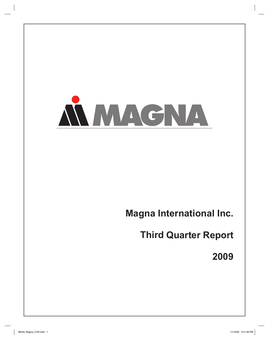

# **Magna International Inc.**

**Third Quarter Report** 

**2009**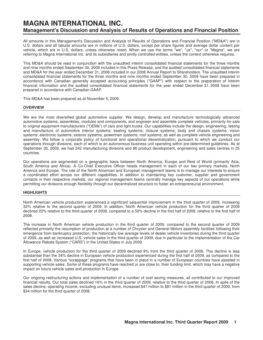# **MAGNA INTERNATIONAL INC. Management's Discussion and Analysis of Results of Operations and Financial Position**

All amounts in this Management's Discussion and Analysis of Results of Operations and Financial Position ("MD&A") are in U.S. dollars and all tabular amounts are in millions of U.S. dollars, except per share figures and average dollar content per vehicle, which are in U.S. dollars, unless otherwise noted. When we use the terms "we", "us", "our" or "Magna", we are referring to Magna International Inc. and its subsidiaries and jointly controlled entities, unless the context otherwise requires.

This MD&A should be read in conjunction with the unaudited interim consolidated financial statements for the three months and nine months ended September 30, 2009 included in this Press Release, and the audited consolidated financial statements and MD&A for the year ended December 31, 2008 included in our 2008 Annual Report to Shareholders. The unaudited interim consolidated financial statements for the three months and nine months ended September 30, 2009 have been prepared in accordance with Canadian generally accepted accounting principles ("GAAP") with respect to the preparation of interim financial information and the audited consolidated financial statements for the year ended December 31, 2008 have been prepared in accordance with Canadian GAAP.

This MD&A has been prepared as at November 5, 2009.

# **OVERVIEW**

We are the most diversified global automotive supplier. We design, develop and manufacture technologically advanced automotive systems, assemblies, modules and components, and engineer and assemble complete vehicles, primarily for sale to original equipment manufacturers ("OEMs") of cars and light trucks. Our capabilities include the design, engineering, testing and manufacture of automotive interior systems; seating systems; closure systems; body and chassis systems; vision systems; electronic systems; exterior systems; powertrain systems; roof systems; as well as complete vehicle engineering and assembly. We follow a corporate policy of functional and operational decentralization, pursuant to which we conduct our operations through divisions, each of which is an autonomous business unit operating within pre-determined guidelines. As at September 30, 2009, we had 242 manufacturing divisions and 86 product development, engineering and sales centres in 25 countries.

Our operations are segmented on a geographic basis between North America, Europe and Rest of World (primarily Asia, South America and Africa). A Co-Chief Executive Officer heads management in each of our two primary markets, North America and Europe. The role of the North American and European management teams is to manage our interests to ensure a coordinated effort across our different capabilities. In addition to maintaining key customer, supplier and government contacts in their respective markets, our regional management teams centrally manage key aspects of our operations while permitting our divisions enough flexibility through our decentralized structure to foster an entrepreneurial environment.

# **HIGHLIGHTS**

North American vehicle production experienced a significant sequential improvement in the third quarter of 2009, increasing 32% relative to the second quarter of 2009. In addition, North American vehicle production for the third quarter of 2009 declined 20% relative to the third quarter of 2008, compared to a 50% decline in the first half of 2009, relative to the first half of 2008.

The increase in North American vehicle production in the third quarter of 2009, compared to the second quarter of 2009 reflected primarily the resumption of production at a number of Chrysler and General Motors assembly facilities following their emergence from bankruptcy protection, the historically low average levels of dealer vehicle inventories during the third quarter of 2009, as well as increased U.S. vehicle sales in the third quarter of 2009, due in particular to the implementation of the Car Allowance Rebate System ("CARS") in the United States in July 2009.

In Europe, vehicle production for the third quarter of 2009 declined 9% from the third quarter of 2008. This decline is less substantial than the 34% decline in European vehicle production experienced during the first half of 2009, as compared to the first half of 2008. Various "scrappage" programs that have been in place in a number of European countries have assisted in supporting vehicle sales. Some of these programs have reached or are close to, their funding limit, which may have a negative impact on future vehicle sales and production in Europe.

Our ongoing restructuring actions and implementation of a number of cost saving measures, all contributed to our improved financial results. Our total sales declined 16% in the third quarter of 2009, relative to the third quarter of 2008. In spite of the sales decline, operating income, excluding unusual items, increased \$47 million to \$81 million in the third quarter of 2009, from \$34 million for the third quarter of 2008.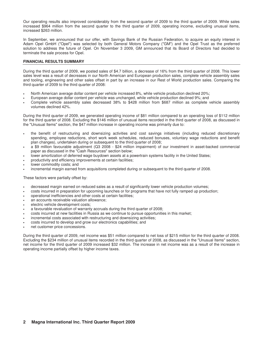Our operating results also improved considerably from the second quarter of 2009 to the third quarter of 2009. While sales increased \$964 million from the second quarter to the third quarter of 2009, operating income, excluding unusual items, increased \$263 million.

In September, we announced that our offer, with Savings Bank of the Russian Federation, to acquire an equity interest in Adam Opel GmbH ("Opel") was selected by both General Motors Company ("GM") and the Opel Trust as the preferred solution to address the future of Opel. On November 3 2009, GM announced that its Board of Directors had decided to terminate the sale process for Opel.

# **FINANCIAL RESULTS SUMMARY**

During the third quarter of 2009, we posted sales of \$4.7 billion, a decrease of 16% from the third quarter of 2008. This lower sales level was a result of decreases in our North American and European production sales, complete vehicle assembly sales and tooling, engineering and other sales offset in part by an increase in our Rest of World production sales. Comparing the third quarter of 2009 to the third quarter of 2008:

- North American average dollar content per vehicle increased 8%, while vehicle production declined 20%;
- European average dollar content per vehicle was unchanged, while vehicle production declined 9%; and
- Complete vehicle assembly sales decreased 38% to \$428 million from \$687 million as complete vehicle assembly volumes declined 42%.

During the third quarter of 2009, we generated operating income of \$81 million compared to an operating loss of \$112 million for the third quarter of 2008. Excluding the \$146 million of unusual items recorded in the third quarter of 2008, as discussed in the "Unusual Items" section, the \$47 million increase in operating income was primarily due to:

- the benefit of restructuring and downsizing activities and cost savings initiatives (including reduced discretionary spending, employee reductions, short work week schedules, reduced bonuses, voluntary wage reductions and benefit plan changes), undertaken during or subsequent to the third quarter of 2008;
- a \$9 million favourable adjustment (Q3 2008 \$24 million impairment) of our investment in asset-backed commercial paper as discussed in the "Cash Resources" section below;
- lower amortization of deferred wage buydown assets at a powertrain systems facility in the United States;
- productivity and efficiency improvements at certain facilities;
- lower commodity costs; and
- incremental margin earned from acquisitions completed during or subsequent to the third quarter of 2008.

These factors were partially offset by:

- decreased margin earned on reduced sales as a result of significantly lower vehicle production volumes;
- costs incurred in preparation for upcoming launches or for programs that have not fully ramped up production;
- operational inefficiencies and other costs at certain facilities;
- an accounts receivable valuation allowance;
- electric vehicle development costs;
- a favourable revaluation of warranty accruals during the third quarter of 2008;
- costs incurred at new facilities in Russia as we continue to pursue opportunities in this market;
- incremental costs associated with restructuring and downsizing activities;
- costs incurred to develop and grow our electronics capabilities; and
- net customer price concessions.

During the third quarter of 2009, net income was \$51 million compared to net loss of \$215 million for the third quarter of 2008. Excluding the \$234 million of unusual items recorded in the third quarter of 2008, as discussed in the "Unusual Items" section, net income for the third quarter of 2009 increased \$32 million. The increase in net income was as a result of the increase in operating income partially offset by higher income taxes.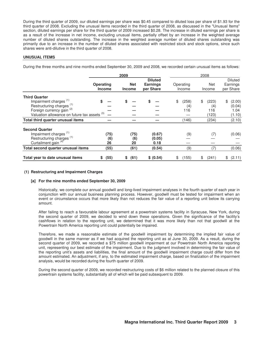During the third quarter of 2009, our diluted earnings per share was \$0.45 compared to diluted loss per share of \$1.93 for the third quarter of 2008. Excluding the unusual items recorded in the third quarter of 2008, as discussed in the "Unusual Items" section, diluted earnings per share for the third quarter of 2009 increased \$0.28. The increase in diluted earnings per share is as a result of the increase in net income, excluding unusual items, partially offset by an increase in the weighted average number of diluted shares outstanding. The increase in the weighted average number of diluted shares outstanding was primarily due to an increase in the number of diluted shares associated with restricted stock and stock options, since such shares were anti-dilutive in the third quarter of 2008.

### **UNUSUAL ITEMS**

During the three months and nine months ended September 30, 2009 and 2008, we recorded certain unusual items as follows:

|                                                                              | 2009                              |                             |                                                | 2008                |                      |                                         |  |  |
|------------------------------------------------------------------------------|-----------------------------------|-----------------------------|------------------------------------------------|---------------------|----------------------|-----------------------------------------|--|--|
|                                                                              | <b>Operating</b><br><b>Income</b> | <b>Net</b><br><b>Income</b> | <b>Diluted</b><br><b>Earnings</b><br>per Share | Operating<br>Income | <b>Net</b><br>Income | <b>Diluted</b><br>Earnings<br>per Share |  |  |
| <b>Third Quarter</b><br>Impairment charges <sup>(1)</sup>                    |                                   |                             |                                                | \$<br>(258)         | (223)<br>\$          | (2.00)<br>\$                            |  |  |
| Restructuring charges <sup>(1)</sup><br>Foreign currency gain <sup>(2)</sup> |                                   |                             |                                                | (4)<br>116          | (4)<br>116           | (0.04)<br>1.04                          |  |  |
| Valuation allowance on future tax assets (3)                                 |                                   |                             |                                                |                     | (123)                | (1.10)                                  |  |  |
| Total third quarter unusual items                                            |                                   |                             |                                                | (146)               | (234)                | (2.10)                                  |  |  |
| <b>Second Quarter</b>                                                        |                                   |                             |                                                |                     |                      |                                         |  |  |
| Impairment charges <sup>(1)</sup>                                            | (75)                              | (75)                        | (0.67)                                         | (9)                 | (7)                  | (0.06)                                  |  |  |
| Restructuring charges <sup>(1)</sup>                                         | (6)                               | (6)                         | (0.05)                                         |                     |                      |                                         |  |  |
| Curtailment gain <sup>(4)</sup>                                              | 26                                | 20                          | 0.18                                           |                     |                      |                                         |  |  |
| Total second quarter unusual items                                           | (55)                              | (61)                        | (0.54)                                         | (9)                 | (7)                  | (0.06)                                  |  |  |
| Total year to date unusual items                                             | (55)<br>\$                        | (61)<br>\$                  | \$ (0.54)                                      | (155)<br>\$         | (241)<br>\$          | (2.11)<br>\$                            |  |  |

### **(1) Restructuring and Impairment Charges**

#### **[a] For the nine months ended September 30, 2009**

Historically, we complete our annual goodwill and long-lived impairment analyses in the fourth quarter of each year in conjunction with our annual business planning process. However, goodwill must be tested for impairment when an event or circumstance occurs that more likely than not reduces the fair value of a reporting unit below its carrying amount.

After failing to reach a favourable labour agreement at a powertrain systems facility in Syracuse, New York, during the second quarter of 2009, we decided to wind down these operations. Given the significance of the facility's cashflows in relation to the reporting unit, we determined that it was more likely than not that goodwill at the Powertrain North America reporting unit could potentially be impaired.

Therefore, we made a reasonable estimate of the goodwill impairment by determining the implied fair value of goodwill in the same manner as if we had acquired the reporting unit as at June 30, 2009. As a result, during the second quarter of 2009, we recorded a \$75 million goodwill impairment at our Powertrain North America reporting unit, representing our best estimate of the impairment. Due to the judgment involved in determining the fair value of the reporting unit's assets and liabilities, the final amount of the goodwill impairment charge could differ from the amount estimated. An adjustment, if any, to the estimated impairment charge, based on finalization of the impairment analysis, would be recorded during the fourth quarter of 2009.

During the second quarter of 2009, we recorded restructuring costs of \$6 million related to the planned closure of this powertrain systems facility, substantially all of which will be paid subsequent to 2009.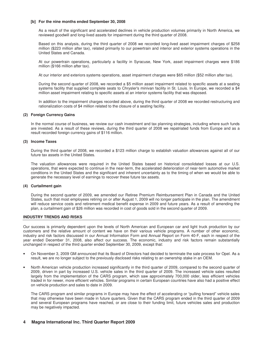### **[b] For the nine months ended September 30, 2008**

As a result of the significant and accelerated declines in vehicle production volumes primarily in North America, we reviewed goodwill and long-lived assets for impairment during the third quarter of 2008.

Based on this analysis, during the third quarter of 2008 we recorded long-lived asset impairment charges of \$258 million (\$223 million after tax), related primarily to our powertrain and interior and exterior systems operations in the United States and Canada.

At our powertrain operations, particularly a facility in Syracuse, New York, asset impairment charges were \$186 million (\$166 million after tax).

At our interior and exteriors systems operations, asset impairment charges were \$65 million (\$52 million after tax).

During the second quarter of 2008, we recorded a \$5 million asset impairment related to specific assets at a seating systems facility that supplied complete seats to Chrysler's minivan facility in St. Louis. In Europe, we recorded a \$4 million asset impairment relating to specific assets at an interior systems facility that was disposed.

In addition to the impairment charges recorded above, during the third quarter of 2008 we recorded restructuring and rationalization costs of \$4 million related to the closure of a seating facility.

### **(2) Foreign Currency Gains**

In the normal course of business, we review our cash investment and tax planning strategies, including where such funds are invested. As a result of these reviews, during the third quarter of 2008 we repatriated funds from Europe and as a result recorded foreign currency gains of \$116 million.

### **(3) Income Taxes**

During the third quarter of 2008, we recorded a \$123 million charge to establish valuation allowances against all of our future tax assets in the United States.

The valuation allowances were required in the United States based on historical consolidated losses at our U.S. operations, that were expected to continue in the near-term, the accelerated deterioration of near-term automotive market conditions in the United States and the significant and inherent uncertainty as to the timing of when we would be able to generate the necessary level of earnings to recover these future tax assets.

# **(4) Curtailment gain**

During the second quarter of 2009, we amended our Retiree Premium Reimbursement Plan in Canada and the United States, such that most employees retiring on or after August 1, 2009 will no longer participate in the plan. The amendment will reduce service costs and retirement medical benefit expense in 2009 and future years. As a result of amending the plan, a curtailment gain of \$26 million was recorded in cost of goods sold in the second quarter of 2009.

# **INDUSTRY TRENDS AND RISKS**

Our success is primarily dependent upon the levels of North American and European car and light truck production by our customers and the relative amount of content we have on their various vehicle programs. A number of other economic, industry and risk factors discussed in our Annual Information Form and Annual Report on Form 40-F, each in respect of the year ended December 31, 2008, also affect our success. The economic, industry and risk factors remain substantially unchanged in respect of the third quarter ended September 30, 2009, except that:

- On November 3, 2009 GM announced that its Board of Directors had decided to terminate the sale process for Opel. As a result, we are no longer subject to the previously disclosed risks relating to an ownership stake in an OEM.
- North American vehicle production increased significantly in the third quarter of 2009, compared to the second quarter of 2009, driven in part by increased U.S. vehicle sales in the third quarter of 2009. The increased vehicle sales resulted largely from the implementation of the CARS program, which saw approximately 700,000 older, less efficient vehicles traded in for newer, more efficient vehicles. Similar programs in certain European countries have also had a positive effect on vehicle production and sales to date in 2009.

The CARS program and similar programs in Europe may have the effect of accelerating or "pulling forward" vehicle sales that may otherwise have been made in future quarters. Given that the CARS program ended in the third quarter of 2009 and several European programs have reached, or are close to their funding limit, future vehicles sales and production may be negatively impacted.

# **4 Magna International Inc. Third Quarter Report 2009**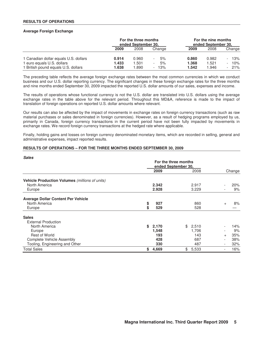### **RESULTS OF OPERATIONS**

### **Average Foreign Exchange**

|                                       | For the three months<br>ended September 30. |        |                                |       | For the nine months<br>ended September 30. |                                 |
|---------------------------------------|---------------------------------------------|--------|--------------------------------|-------|--------------------------------------------|---------------------------------|
|                                       | 2009                                        | 2008   | Change                         | 2009  | 2008                                       | Change                          |
| 1 Canadian dollar equals U.S. dollars | 0.914                                       | 0.960  | 5%                             | 0.860 | 0.982                                      | 13%<br>$\overline{\phantom{0}}$ |
| 1 euro equals U.S. dollars            | 1.433                                       | 501. ا | 5%<br>$\overline{\phantom{a}}$ | 1.368 | 1.521                                      | 10%<br>$\overline{\phantom{0}}$ |
| 1 British pound equals U.S. dollars   | 1.638                                       | .890   | $-13%$                         | 1.542 | 1.946                                      | $-21\%$                         |

The preceding table reflects the average foreign exchange rates between the most common currencies in which we conduct business and our U.S. dollar reporting currency. The significant changes in these foreign exchange rates for the three months and nine months ended September 30, 2009 impacted the reported U.S. dollar amounts of our sales, expenses and income.

The results of operations whose functional currency is not the U.S. dollar are translated into U.S. dollars using the average exchange rates in the table above for the relevant period. Throughout this MD&A, reference is made to the impact of translation of foreign operations on reported U.S. dollar amounts where relevant.

Our results can also be affected by the impact of movements in exchange rates on foreign currency transactions (such as raw material purchases or sales denominated in foreign currencies). However, as a result of hedging programs employed by us, primarily in Canada, foreign currency transactions in the current period have not been fully impacted by movements in exchange rates. We record foreign currency transactions at the hedged rate where applicable.

Finally, holding gains and losses on foreign currency denominated monetary items, which are recorded in selling, general and administrative expenses, impact reported results.

### **RESULTS OF OPERATIONS – FOR THE THREE MONTHS ENDED SEPTEMBER 30, 2009**

| <b>Sales</b>                                   | For the three months<br>ended September 30, |       |      |       |                          |        |
|------------------------------------------------|---------------------------------------------|-------|------|-------|--------------------------|--------|
|                                                |                                             | 2009  | 2008 |       |                          | Change |
| Vehicle Production Volumes (millions of units) |                                             |       |      |       |                          |        |
| North America                                  |                                             | 2.342 |      | 2.917 |                          | 20%    |
| Europe                                         |                                             | 2.928 |      | 3.229 |                          | 9%     |
| <b>Average Dollar Content Per Vehicle</b>      |                                             |       |      |       |                          |        |
| North America                                  | \$                                          | 927   |      | 860   | $+$                      | 8%     |
| Europe                                         | \$                                          | 529   |      | 528   |                          |        |
| <b>Sales</b>                                   |                                             |       |      |       |                          |        |
| <b>External Production</b>                     |                                             |       |      |       |                          |        |
| North America                                  | S.                                          | 2,170 | \$   | 2,510 |                          | 14%    |
| Europe                                         |                                             | 1,548 |      | 1,706 |                          | 9%     |
| <b>Rest of World</b>                           |                                             | 193   |      | 143   | $+$                      | 35%    |
| Complete Vehicle Assembly                      |                                             | 428   |      | 687   |                          | 38%    |
| Tooling, Engineering and Other                 |                                             | 330   |      | 487   | $\overline{\phantom{a}}$ | 32%    |
| <b>Total Sales</b>                             | \$                                          | 4,669 | \$   | 5,533 | $\overline{\phantom{a}}$ | 16%    |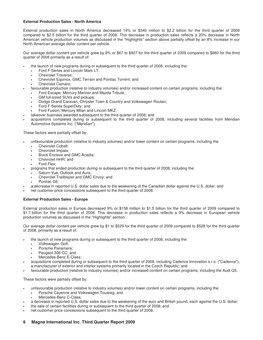# **External Production Sales - North America**

External production sales in North America decreased 14% or \$340 million to \$2.2 billion for the third quarter of 2009 compared to \$2.5 billion for the third quarter of 2008. This decrease in production sales reflects a 20% decrease in North American vehicle production volumes as discussed in the "Highlights" section above partially offset by an 8% increase in our North American average dollar content per vehicle.

Our average dollar content per vehicle grew by 8% or \$67 to \$927 for the third quarter of 2009 compared to \$860 for the third quarter of 2008 primarily as a result of:

- the launch of new programs during or subsequent to the third quarter of 2008, including the:
	- Ford F-Series and Lincoln Mark LT;
	- Chevrolet Traverse;
	- Chevrolet Equinox, GMC Terrain and Pontiac Torrent; and
	- Chevrolet Camaro;
- favourable production (relative to industry volumes) and/or increased content on certain programs, including the:
	- Ford Escape, Mercury Mariner and Mazda Tribute;
	- GM full-sized SUVs and pickups;
	- Dodge Grand Caravan, Chrysler Town & Country and Volkswagen Routan;
	- Ford F-Series SuperDuty; and
	- Ford Fusion, Mercury Milan and Lincoln MKZ;
- takeover business awarded subsequent to the third quarter of 2008; and
- acquisitions completed during or subsequent to the third quarter of 2008, including several facilities from Meridian Automotive Systems Inc. ("Meridian").

These factors were partially offset by:

- unfavourable production (relative to industry volumes) and/or lower content on certain programs, including the:
	- Chevrolet Cobalt;
	- Chevrolet Impala;
	- Buick Enclave and GMC Acadia;
	- Chevrolet HHR; and
	- Ford Flex;
	- programs that ended production during or subsequent to the third quarter of 2008, including the:
	- Saturn Vue, Outlook and Aura;
	- Chevrolet Trailblazer and GMC Envoy; and
	- Pontiac G5:
- a decrease in reported U.S. dollar sales due to the weakening of the Canadian dollar against the U.S. dollar; and
- net customer price concessions subsequent to the third quarter of 2008.

# **External Production Sales - Europe**

External production sales in Europe decreased 9% or \$158 million to \$1.5 billion for the third quarter of 2009 compared to \$1.7 billion for the third quarter of 2008. This decrease in production sales reflects a 9% decrease in European vehicle production volumes as discussed in the "Highlights" section.

Our average dollar content per vehicle grew by \$1 to \$529 for the third quarter of 2009 compared to \$528 for the third quarter of 2008, primarily as a result of:

- the launch of new programs during or subsequent to the third quarter of 2008, including the:
	- Volkswagen Golf;
	- Porsche Panamera;
	- Peugeot 308 CC; and
	- Mercedes-Benz E-Class;
- acquisitions completed during or subsequent to the third quarter of 2008, including Cadence Innovation s.r.o. ("Cadence"), a manufacturer of exterior and interior systems primarily located in the Czech Republic; and
- favourable production (relative to industry volumes) and/or increased content on certain programs, including the Audi Q5.

These factors were partially offset by:

- unfavourable production (relative to industry volumes) and/or lower content on certain programs, including the:
	- Porsche Cayenne and Volkswagen Touareg; and
	- Mercedes-Benz C-Class;
- a decrease in reported U.S. dollar sales due to the weakening of the euro and British pound, each against the U.S. dollar;
- the sale of certain facilities during or subsequent to the third quarter of 2008; and
- net customer price concessions subsequent to the third quarter of 2008.

# **6 Magna International Inc. Third Quarter Report 2009**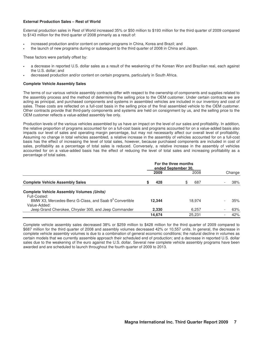# **External Production Sales – Rest of World**

External production sales in Rest of World increased 35% or \$50 million to \$193 million for the third quarter of 2009 compared to \$143 million for the third quarter of 2008 primarily as a result of:

- increased production and/or content on certain programs in China, Korea and Brazil; and
- the launch of new programs during or subsequent to the third quarter of 2008 in China and Japan.

These factors were partially offset by:

- a decrease in reported U.S. dollar sales as a result of the weakening of the Korean Won and Brazilian real, each against the U.S. dollar; and
- decreased production and/or content on certain programs, particularly in South Africa.

### **Complete Vehicle Assembly Sales**

The terms of our various vehicle assembly contracts differ with respect to the ownership of components and supplies related to the assembly process and the method of determining the selling price to the OEM customer. Under certain contracts we are acting as principal, and purchased components and systems in assembled vehicles are included in our inventory and cost of sales. These costs are reflected on a full-cost basis in the selling price of the final assembled vehicle to the OEM customer. Other contracts provide that third-party components and systems are held on consignment by us, and the selling price to the OEM customer reflects a value-added assembly fee only.

Production levels of the various vehicles assembled by us have an impact on the level of our sales and profitability. In addition, the relative proportion of programs accounted for on a full-cost basis and programs accounted for on a value-added basis also impacts our level of sales and operating margin percentage, but may not necessarily affect our overall level of profitability. Assuming no change in total vehicles assembled, a relative increase in the assembly of vehicles accounted for on a full-cost basis has the effect of increasing the level of total sales, however, because purchased components are included in cost of sales, profitability as a percentage of total sales is reduced. Conversely, a relative increase in the assembly of vehicles accounted for on a value-added basis has the effect of reducing the level of total sales and increasing profitability as a percentage of total sales.

|                                                                                    | For the three months<br>ended September 30, |           |  |        |
|------------------------------------------------------------------------------------|---------------------------------------------|-----------|--|--------|
|                                                                                    | 2009                                        | 2008      |  | Change |
| <b>Complete Vehicle Assembly Sales</b>                                             | 428<br>S                                    | 687<br>\$ |  | 38%    |
| <b>Complete Vehicle Assembly Volumes (Units)</b><br>Full-Costed:                   |                                             |           |  |        |
| BMW X3, Mercedes-Benz G-Class, and Saab 9 <sup>3</sup> Convertible<br>Value-Added: | 12.344                                      | 18.974    |  | 35%    |
| Jeep Grand Cherokee, Chrysler 300, and Jeep Commander                              | 2,330                                       | 6,257     |  | 63%    |
|                                                                                    | 14.674                                      | 25.231    |  | 42%    |

Complete vehicle assembly sales decreased 38% or \$259 million to \$428 million for the third quarter of 2009 compared to \$687 million for the third quarter of 2008 and assembly volumes decreased 42% or 10,557 units. In general, the decrease in complete vehicle assembly volumes is due to a combination of general economic conditions; the natural decline in volumes as certain models that we currently assemble approach their scheduled end of production; and a decrease in reported U.S. dollar sales due to the weakening of the euro against the U.S. dollar. Several new complete vehicle assembly programs have been awarded and are scheduled to launch throughout the fourth quarter of 2009 to 2013.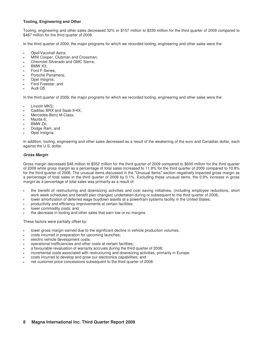# **Tooling, Engineering and Other**

Tooling, engineering and other sales decreased 32% or \$157 million to \$330 million for the third quarter of 2009 compared to \$487 million for the third quarter of 2008.

In the third quarter of 2009, the major programs for which we recorded tooling, engineering and other sales were the:

- Opel/Vauxhall Astra;
- MINI Cooper, Clubman and Crossman;
- Chevrolet Silverado and GMC Sierra;
- BMW X3;
- Ford F-Series;
- Porsche Panamera;
- Opel Insignia;
- Ford Freestar; and
- Audi Q5.

In the third quarter of 2008, the major programs for which we recorded tooling, engineering and other sales were the:

- Lincoln MKS;
- Cadillac BRX and Saab 9-4X;
- Mercedes-Benz M-Class:
- Mazda 6:
- BMW Z4;
- Dodge Ram; and
- Opel Insignia.

In addition, tooling, engineering and other sales decreased as a result of the weakening of the euro and Canadian dollar, each against the U.S. dollar.

# **Gross Margin**

Gross margin decreased \$48 million to \$552 million for the third quarter of 2009 compared to \$600 million for the third quarter of 2008 while gross margin as a percentage of total sales increased to 11.8% for the third quarter of 2009 compared to 10.8% for the third quarter of 2008. The unusual items discussed in the "Unusual Items" section negatively impacted gross margin as a percentage of total sales in the third quarter of 2008 by 0.1%. Excluding these unusual items, the 0.9% increase in gross margin as a percentage of total sales was primarily as a result of:

- the benefit of restructuring and downsizing activities and cost saving initiatives, (including employee reductions, short work week schedules and benefit plan changes) undertaken during or subsequent to the third quarter of 2008;
- lower amortization of deferred wage buydown assets at a powertrain systems facility in the United States;
- productivity and efficiency improvements at certain facilities;
- lower commodity costs; and
- the decrease in tooling and other sales that earn low or no margins.

These factors were partially offset by:

- lower gross margin earned due to the significant decline in vehicle production volumes;
- costs incurred in preparation for upcoming launches;
- electric vehicle development costs;
- operational inefficiencies and other costs at certain facilities;
- a favourable revaluation of warranty accruals during the third quarter of 2008;
- incremental costs associated with restructuring and downsizing activities, primarily in Europe;
- costs incurred to develop and grow our electronics capabilities; and
- net customer price concessions subsequent to the third quarter of 2008.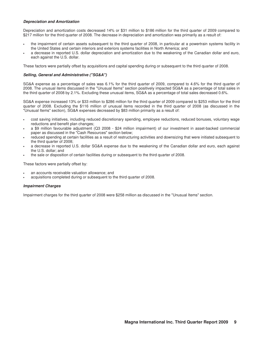# **Depreciation and Amortization**

Depreciation and amortization costs decreased 14% or \$31 million to \$186 million for the third quarter of 2009 compared to \$217 million for the third quarter of 2008. The decrease in depreciation and amortization was primarily as a result of:

- the impairment of certain assets subsequent to the third quarter of 2008, in particular at a powertrain systems facility in the United States and certain interiors and exteriors systems facilities in North America; and
- a decrease in reported U.S. dollar depreciation and amortization due to the weakening of the Canadian dollar and euro, each against the U.S. dollar.

These factors were partially offset by acquisitions and capital spending during or subsequent to the third quarter of 2008.

### **Selling, General and Administrative ("SG&A")**

SG&A expense as a percentage of sales was 6.1% for the third quarter of 2009, compared to 4.6% for the third quarter of 2008. The unusual items discussed in the "Unusual Items" section positively impacted SG&A as a percentage of total sales in the third quarter of 2008 by 2.1%. Excluding these unusual items, SG&A as a percentage of total sales decreased 0.6%.

SG&A expense increased 13% or \$33 million to \$286 million for the third quarter of 2009 compared to \$253 million for the third quarter of 2008. Excluding the \$116 million of unusual items recorded in the third quarter of 2008 (as discussed in the "Unusual Items" section), SG&A expenses decreased by \$83 million primarily as a result of:

- cost saving initiatives, including reduced discretionary spending, employee reductions, reduced bonuses, voluntary wage reductions and benefit plan changes;
- a \$9 million favourable adjustment (Q3 2008 \$24 million impairment) of our investment in asset-backed commercial paper as discussed in the "Cash Resources" section below;
- reduced spending at certain facilities as a result of restructuring activities and downsizing that were initiated subsequent to the third quarter of 2008;
- a decrease in reported U.S. dollar SG&A expense due to the weakening of the Canadian dollar and euro, each against the U.S. dollar; and
- the sale or disposition of certain facilities during or subsequent to the third quarter of 2008.

These factors were partially offset by:

- an accounts receivable valuation allowance; and
- acquisitions completed during or subsequent to the third quarter of 2008.

#### **Impairment Charges**

Impairment charges for the third quarter of 2008 were \$258 million as discussed in the "Unusual Items" section.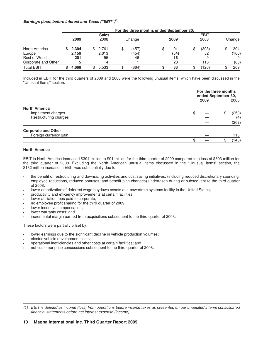# **Earnings (loss) before Interest and Taxes ("EBIT")(1)**

|                      | For the three months ended September 30, |       |    |              |    |        |   |      |   |             |  |        |
|----------------------|------------------------------------------|-------|----|--------------|----|--------|---|------|---|-------------|--|--------|
|                      |                                          |       |    | <b>Sales</b> |    |        |   |      |   | <b>EBIT</b> |  |        |
|                      |                                          | 2009  |    | 2008         |    | Change |   | 2009 |   | 2008        |  | Change |
| North America        |                                          | 2.304 | \$ | 2,761        | \$ | (457)  | Œ | 91   | S | (303)       |  | 394    |
| Europe               |                                          | 2.159 |    | 2.613        |    | (454)  |   | (54) |   | 52          |  | (106)  |
| <b>Rest of World</b> |                                          | 201   |    | 155          |    | 46     |   | 18   |   |             |  |        |
| Corporate and Other  |                                          |       |    | 4            |    |        |   | 28   |   | 116         |  | (88)   |
| <b>Total EBIT</b>    |                                          | 4.669 |    | 5,533        |    | (864)  |   | 83   | จ | (126)       |  | 209    |

Included in EBIT for the third quarters of 2009 and 2008 were the following unusual items, which have been discussed in the "Unusual Items" section.

|                            |      | For the three months<br>ended September 30, |  |  |  |
|----------------------------|------|---------------------------------------------|--|--|--|
|                            | 2009 | 2008                                        |  |  |  |
| <b>North America</b>       |      |                                             |  |  |  |
| Impairment charges         | S    | (258)                                       |  |  |  |
| Restructuring charges      |      | (4)                                         |  |  |  |
|                            |      | (262)                                       |  |  |  |
| <b>Corporate and Other</b> |      |                                             |  |  |  |
| Foreign currency gain      |      | 116                                         |  |  |  |
|                            |      | (146)                                       |  |  |  |

### **North America**

EBIT in North America increased \$394 million to \$91 million for the third quarter of 2009 compared to a loss of \$303 million for the third quarter of 2008. Excluding the North American unusual items discussed in the "Unusual Items" section, the \$132 million increase in EBIT was substantially due to:

- the benefit of restructuring and downsizing activities and cost saving initiatives, (including reduced discretionary spending, employee reductions, reduced bonuses, and benefit plan changes) undertaken during or subsequent to the third quarter of 2008;
- lower amortization of deferred wage buydown assets at a powertrain systems facility in the United States;
- productivity and efficiency improvements at certain facilities;
- lower affiliation fees paid to corporate;
- no employee profit sharing for the third quarter of 2009;
- lower incentive compensation;
- lower warranty costs; and
- incremental margin earned from acquisitions subsequent to the third quarter of 2008.

These factors were partially offset by:

- lower earnings due to the significant decline in vehicle production volumes;
- electric vehicle development costs;
- operational inefficiencies and other costs at certain facilities; and
- net customer price concessions subsequent to the third quarter of 2008.

<sup>(1)</sup> EBIT is defined as income (loss) from operations before income taxes as presented on our unaudited interim consolidated financial statements before net interest expense (income).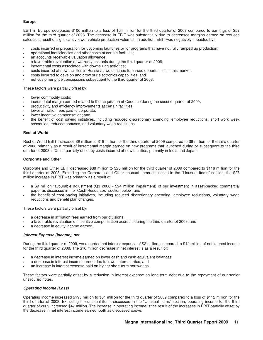# **Europe**

EBIT in Europe decreased \$106 million to a loss of \$54 million for the third quarter of 2009 compared to earnings of \$52 million for the third quarter of 2008. The decrease in EBIT was substantially due to decreased margins earned on reduced sales as a result of significantly lower vehicle production volumes. In addition, EBIT was negatively impacted by:

- costs incurred in preparation for upcoming launches or for programs that have not fully ramped up production;
- operational inefficiencies and other costs at certain facilities;
- an accounts receivable valuation allowance;
- a favourable revaluation of warranty accruals during the third quarter of 2008;
- incremental costs associated with downsizing activities;
- costs incurred at new facilities in Russia as we continue to pursue opportunities in this market;
- costs incurred to develop and grow our electronics capabilities; and
- net customer price concessions subsequent to the third quarter of 2008.

These factors were partially offset by:

- lower commodity costs;
- incremental margin earned related to the acquisition of Cadence during the second quarter of 2009;
- productivity and efficiency improvements at certain facilities;
- lower affiliation fees paid to corporate;
- lower incentive compensation; and
- the benefit of cost saving initiatives, including reduced discretionary spending, employee reductions, short work week schedules, reduced bonuses, and voluntary wage reductions.

### **Rest of World**

Rest of World EBIT increased \$9 million to \$18 million for the third quarter of 2009 compared to \$9 million for the third quarter of 2008 primarily as a result of incremental margin earned on new programs that launched during or subsequent to the third quarter of 2008 in China partially offset by costs incurred at new facilities, primarily in India and Japan.

### **Corporate and Other**

Corporate and Other EBIT decreased \$88 million to \$28 million for the third quarter of 2009 compared to \$116 million for the third quarter of 2008. Excluding the Corporate and Other unusual items discussed in the "Unusual Items" section, the \$28 million increase in EBIT was primarily as a result of:

- a \$9 million favourable adjustment (Q3 2008 \$24 million impairment) of our investment in asset-backed commercial paper as discussed in the "Cash Resources" section below; and
- the benefit of cost saving initiatives, including reduced discretionary spending, employee reductions, voluntary wage reductions and benefit plan changes.

These factors were partially offset by:

- a decrease in affiliation fees earned from our divisions;
- a favourable revaluation of incentive compensation accruals during the third quarter of 2008; and
- a decrease in equity income earned.

# **Interest Expense (Income), net**

During the third quarter of 2009, we recorded net interest expense of \$2 million, compared to \$14 million of net interest income for the third quarter of 2008. The \$16 million decrease in net interest is as a result of:

- a decrease in interest income earned on lower cash and cash equivalent balances;
- a decrease in interest income earned due to lower interest rates; and
- an increase in interest expense paid on higher short-term borrowings.

These factors were partially offset by a reduction in interest expense on long-term debt due to the repayment of our senior unsecured notes.

# **Operating Income (Loss)**

Operating income increased \$193 million to \$81 million for the third quarter of 2009 compared to a loss of \$112 million for the third quarter of 2008. Excluding the unusual items discussed in the "Unusual Items" section, operating income for the third quarter of 2009 increased \$47 million. The increase in operating income is the result of the increases in EBIT partially offset by the decrease in net interest income earned, both as discussed above.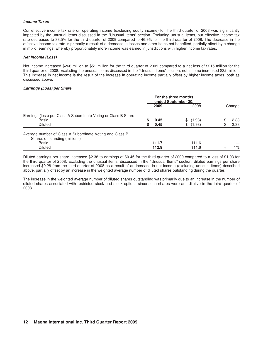# **Income Taxes**

Our effective income tax rate on operating income (excluding equity income) for the third quarter of 2008 was significantly impacted by the unusual items discussed in the "Unusual Items" section. Excluding unusual items, our effective income tax rate decreased to 38.5% for the third quarter of 2009 compared to 46.9% for the third quarter of 2008. The decrease in the effective income tax rate is primarily a result of a decrease in losses and other items not benefited, partially offset by a change in mix of earnings, whereby proportionately more income was earned in jurisdictions with higher income tax rates.

### **Net Income (Loss)**

Net income increased \$266 million to \$51 million for the third quarter of 2009 compared to a net loss of \$215 million for the third quarter of 2008. Excluding the unusual items discussed in the "Unusual Items" section, net income increased \$32 million. This increase in net income is the result of the increase in operating income partially offset by higher income taxes, both as discussed above.

### **Earnings (Loss) per Share**

|                                                                                                                             | For the three months<br>ended September 30, |                |  |                  |    |              |
|-----------------------------------------------------------------------------------------------------------------------------|---------------------------------------------|----------------|--|------------------|----|--------------|
|                                                                                                                             |                                             | 2009           |  | 2008             |    | Change       |
| Earnings (loss) per Class A Subordinate Voting or Class B Share<br>Basic<br><b>Diluted</b>                                  | S<br>S                                      | 0.45<br>0.45   |  | (1.93)<br>(1.93) | £. | 2.38<br>2.38 |
| Average number of Class A Subordinate Voting and Class B<br>Shares outstanding (millions)<br><b>Basic</b><br><b>Diluted</b> |                                             | 111.7<br>112.9 |  | 111.6<br>111.6   |    | 1%           |

Diluted earnings per share increased \$2.38 to earnings of \$0.45 for the third quarter of 2009 compared to a loss of \$1.93 for the third quarter of 2008. Excluding the unusual items, discussed in the "Unusual Items" section, diluted earnings per share increased \$0.28 from the third quarter of 2008 as a result of an increase in net income (excluding unusual items) described above, partially offset by an increase in the weighted average number of diluted shares outstanding during the quarter.

The increase in the weighted average number of diluted shares outstanding was primarily due to an increase in the number of diluted shares associated with restricted stock and stock options since such shares were anti-dilutive in the third quarter of 2008.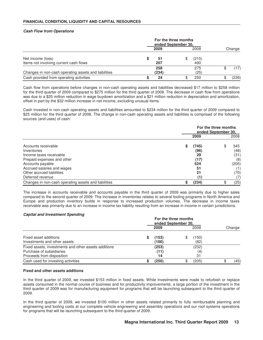# **Cash Flow from Operations**

|                                                             | For the three months<br>ended September 30, |              |    |              |  |        |
|-------------------------------------------------------------|---------------------------------------------|--------------|----|--------------|--|--------|
|                                                             |                                             | 2009         |    | 2008         |  | Change |
| Net income (loss)<br>Items not involving current cash flows |                                             | -51<br>207   | \$ | (215)<br>490 |  |        |
| Changes in non-cash operating assets and liabilities        |                                             | 258<br>(234) |    | 275<br>(25)  |  | (17)   |
| Cash provided from operating activities                     |                                             | 24           |    | 250          |  | (226)  |

Cash flow from operations before changes in non-cash operating assets and liabilities decreased \$17 million to \$258 million for the third quarter of 2009 compared to \$275 million for the third quarter of 2008. The decrease in cash flow from operations was due to a \$25 million reduction in wage buydown amortization and a \$21 million reduction in depreciation and amortization, offset in part by the \$32 million increase in net income, excluding unusual items.

Cash invested in non-cash operating assets and liabilities amounted to \$234 million for the third quarter of 2009 compared to \$25 million for the third quarter of 2008. The change in non-cash operating assets and liabilities is comprised of the following sources (and uses) of cash:

|                                                                             | For the three months<br>ended September 30, |                     |  |                     |  |
|-----------------------------------------------------------------------------|---------------------------------------------|---------------------|--|---------------------|--|
|                                                                             |                                             | 2009                |  | 2008                |  |
| Accounts receivable<br>Inventories<br>Income taxes receivable               | S                                           | (745)<br>(96)<br>29 |  | 345<br>(48)<br>(31) |  |
| Prepaid expenses and other<br>Accounts payable                              |                                             | (17)<br>524         |  | (8)<br>(205)        |  |
| Accrued salaries and wages<br>Other accrued liabilities<br>Deferred revenue |                                             | 51<br>21<br>(1)     |  | (1)<br>(70)         |  |
| Changes in non-cash operating assets and liabilities                        | S                                           | (234)               |  | (25)                |  |

The increase in accounts receivable and accounts payable in the third quarter of 2009 was primarily due to higher sales compared to the second quarter of 2009. The increase in inventories relates to several tooling programs in North America and Europe and production inventory builds in response to increased production volumes. The decrease in income taxes receivable was primarily due to an increase in income tax liability resulting from an increase in income in certain jurisdictions.

# **Capital and Investment Spending**

|                                                      | For the three months<br>ended September 30, |       |    |       |  |        |  |
|------------------------------------------------------|---------------------------------------------|-------|----|-------|--|--------|--|
|                                                      |                                             | 2009  |    | 2008  |  | Change |  |
| Fixed asset additions                                |                                             | (153) | \$ | (150) |  |        |  |
| Investments and other assets                         |                                             | (100) |    | (82)  |  |        |  |
| Fixed assets, investments and other assets additions |                                             | (253) |    | (232) |  |        |  |
| Purchase of subsidiaries                             |                                             | (11)  |    | (4    |  |        |  |
| Proceeds from disposition                            |                                             | 14    |    | 31    |  |        |  |
| Cash used for investing activities                   |                                             | (250) | \$ | (205) |  | (45)   |  |

#### **Fixed and other assets additions**

In the third quarter of 2009, we invested \$153 million in fixed assets. While investments were made to refurbish or replace assets consumed in the normal course of business and for productivity improvements, a large portion of the investment in the third quarter of 2009 was for manufacturing equipment for programs that will be launching subsequent to the third quarter of 2009.

In the third quarter of 2009, we invested \$100 million in other assets related primarily to fully reimbursable planning and engineering and tooling costs at our complete vehicle engineering and assembly operations and our roof systems operations for programs that will be launching subsequent to the third quarter of 2009.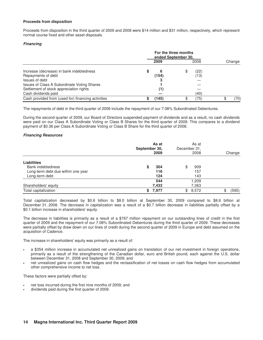### **Proceeds from disposition**

Proceeds from disposition in the third quarter of 2009 and 2008 were \$14 million and \$31 million, respectively, which represent normal course fixed and other asset disposals.

### **Financing**

|                                                    | For the three months<br>ended September 30, |       |    |      |  |        |
|----------------------------------------------------|---------------------------------------------|-------|----|------|--|--------|
|                                                    |                                             | 2009  |    | 2008 |  | Change |
| Increase (decrease) in bank indebtedness           | S                                           |       | \$ | (22) |  |        |
| Repayments of debt                                 |                                             | (154) |    | (13) |  |        |
| Issues of debt                                     |                                             |       |    |      |  |        |
| Issues of Class A Subordinate Voting Shares        |                                             |       |    |      |  |        |
| Settlement of stock appreciation rights            |                                             | (1)   |    |      |  |        |
| Cash dividends paid                                |                                             |       |    | (40) |  |        |
| Cash provided from (used for) financing activities |                                             | (145) | \$ | (75) |  | 70)    |

The repayments of debt in the third quarter of 2009 include the repayment of our 7.08% Subordinated Debentures.

During the second quarter of 2009, our Board of Directors suspended payment of dividends and as a result, no cash dividends were paid on our Class A Subordinate Voting or Class B Shares for the third quarter of 2009. This compares to a dividend payment of \$0.36 per Class A Subordinate Voting or Class B Share for the third quarter of 2008.

### **Financing Resources**

|                                    | As at<br>September 30,<br>2009 | As at<br>December 31,<br>2008 | Change      |
|------------------------------------|--------------------------------|-------------------------------|-------------|
| <b>Liabilities</b>                 |                                |                               |             |
| <b>Bank indebtedness</b>           | 304<br>S                       | 909<br>\$                     |             |
| Long-term debt due within one year | 116                            | 157                           |             |
| Long-term debt                     | 124                            | 143                           |             |
|                                    | 544                            | 209. ا                        |             |
| Shareholders' equity               | 7,433                          | 7,363                         |             |
| Total capitalization               | 7,977<br>S.                    | 8,572<br>\$                   | (595)<br>\$ |

Total capitalization decreased by \$0.6 billion to \$8.0 billion at September 30, 2009 compared to \$8.6 billion at December 31, 2008. The decrease in capitalization was a result of a \$0.7 billion decrease in liabilities partially offset by a \$0.1 billion increase in shareholders' equity.

The decrease in liabilities is primarily as a result of a \$767 million repayment on our outstanding lines of credit in the first quarter of 2009 and the repayment of our 7.08% Subordinated Debentures during the third quarter of 2009. These decreases were partially offset by draw down on our lines of credit during the second quarter of 2009 in Europe and debt assumed on the acquisition of Cadence.

The increase in shareholders' equity was primarily as a result of:

- a \$354 million increase in accumulated net unrealized gains on translation of our net investment in foreign operations, primarily as a result of the strengthening of the Canadian dollar, euro and British pound, each against the U.S. dollar between December 31, 2008 and September 30, 2009; and
- net unrealized gains on cash flow hedges and the reclassification of net losses on cash flow hedges from accumulated other comprehensive income to net loss.

These factors were partially offset by:

- net loss incurred during the first nine months of 2009; and
- dividends paid during the first quarter of 2009.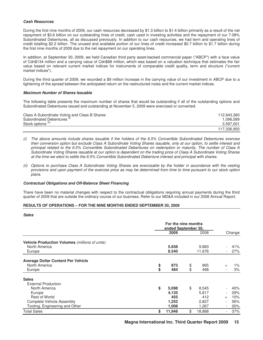### **Cash Resources**

During the first nine months of 2009, our cash resources decreased by \$1.3 billion to \$1.4 billion primarily as a result of the net repayment of \$0.6 billion on our outstanding lines of credit, cash used in investing activities and the repayment of our 7.08% Subordinated Debentures, all as discussed previously. In addition to our cash resources, we had term and operating lines of credit totalling \$2.2 billion. The unused and available portion of our lines of credit increased \$0.7 billion to \$1.7 billion during the first nine months of 2009 due to the net repayment on our operating lines.

In addition, at September 30, 2009, we held Canadian third party asset-backed commercial paper ("ABCP") with a face value of Cdn\$134 million and a carrying value of Cdn\$88 million, which was based on a valuation technique that estimates the fair value based on relevant current market indices for instruments of comparable credit quality, term and structure ("current market indices").

During the third quarter of 2009, we recorded a \$9 million increase in the carrying value of our investment in ABCP due to a tightening of the spread between the anticipated return on the restructured notes and the current market indices.

### **Maximum Number of Shares Issuable**

The following table presents the maximum number of shares that would be outstanding if all of the outstanding options and Subordinated Debentures issued and outstanding at November 5, 2009 were exercised or converted:

| Class A Subordinate Voting and Class B Shares | 112.643.360 |
|-----------------------------------------------|-------------|
| Subordinated Debentures <sup>(1)</sup>        | .096.589    |
| Stock options <sup>(II)</sup>                 | 3,597,001   |
|                                               | 117.336.950 |

- (i) The above amounts include shares issuable if the holders of the 6.5% Convertible Subordinated Debentures exercise their conversion option but exclude Class A Subordinate Voting Shares issuable, only at our option, to settle interest and principal related to the 6.5% Convertible Subordinated Debentures on redemption or maturity. The number of Class A Subordinate Voting Shares issuable at our option is dependent on the trading price of Class A Subordinate Voting Shares at the time we elect to settle the 6.5% Convertible Subordinated Debenture interest and principal with shares.
- (ii) Options to purchase Class A Subordinate Voting Shares are exercisable by the holder in accordance with the vesting provisions and upon payment of the exercise price as may be determined from time to time pursuant to our stock option plans.

### **Contractual Obligations and Off-Balance Sheet Financing**

There have been no material changes with respect to the contractual obligations requiring annual payments during the third quarter of 2009 that are outside the ordinary course of our business. Refer to our MD&A included in our 2008 Annual Report.

#### **RESULTS OF OPERATIONS – FOR THE NINE MONTHS ENDED SEPTEMBER 30, 2009**

#### **Sales**

|                                                |    | 2009   | 2008         |                          | Change |
|------------------------------------------------|----|--------|--------------|--------------------------|--------|
| Vehicle Production Volumes (millions of units) |    |        |              |                          |        |
| North America                                  |    | 5.838  | 9.883        |                          | 41%    |
| Europe                                         |    | 8.540  | 11.676       |                          | 27%    |
| <b>Average Dollar Content Per Vehicle</b>      |    |        |              |                          |        |
| North America                                  | \$ | 873    | \$<br>865    | $+$                      | $1\%$  |
| Europe                                         | \$ | 484    | \$<br>498    |                          | 3%     |
| <b>Sales</b>                                   |    |        |              |                          |        |
| <b>External Production</b>                     |    |        |              |                          |        |
| North America                                  | \$ | 5,098  | \$<br>8,545  |                          | 40%    |
| Europe                                         |    | 4,135  | 5,817        |                          | 29%    |
| <b>Rest of World</b>                           |    | 455    | 412          | $+$                      | 10%    |
| <b>Complete Vehicle Assembly</b>               |    | 1,252  | 2,827        |                          | 56%    |
| Tooling, Engineering and Other                 |    | 1,008  | 1,267        |                          | 20%    |
| <b>Total Sales</b>                             | \$ | 11,948 | \$<br>18,868 | $\overline{\phantom{a}}$ | 37%    |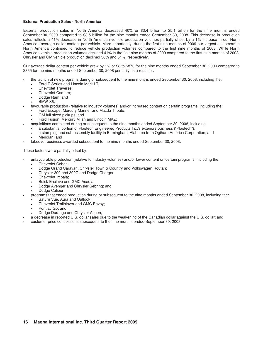# **External Production Sales - North America**

External production sales in North America decreased 40% or \$3.4 billion to \$5.1 billion for the nine months ended September 30, 2009 compared to \$8.5 billion for the nine months ended September 30, 2008. This decrease in production sales reflects a 41% decrease in North American vehicle production volumes partially offset by a 1% increase in our North American average dollar content per vehicle. More importantly, during the first nine months of 2009 our largest customers in North America continued to reduce vehicle production volumes compared to the first nine months of 2008. While North American vehicle production volumes declined 41% in the first nine months of 2009 compared to the first nine months of 2008, Chrysler and GM vehicle production declined 58% and 51%, respectively.

Our average dollar content per vehicle grew by 1% or \$8 to \$873 for the nine months ended September 30, 2009 compared to \$865 for the nine months ended September 30, 2008 primarily as a result of:

- the launch of new programs during or subsequent to the nine months ended September 30, 2008, including the: • Ford F-Series and Lincoln Mark LT;
	- Chevrolet Traverse;
	- Chevrolet Camaro;
	- Dodge Ram; and
	- BMW X6;
- favourable production (relative to industry volumes) and/or increased content on certain programs, including the:
	- Ford Escape, Mercury Mariner and Mazda Tribute;
		- GM full-sized pickups; and
	- Ford Fusion, Mercury Milan and Lincoln MKZ;
	- acquisitions completed during or subsequent to the nine months ended September 30, 2008, including
		- a substantial portion of Plastech Engineered Products Inc.'s exteriors business ("Plastech");
		- a stamping and sub-assembly facility in Birmingham, Alabama from Ogihara America Corporation; and Meridian; and
- takeover business awarded subsequent to the nine months ended September 30, 2008.

These factors were partially offset by:

- unfavourable production (relative to industry volumes) and/or lower content on certain programs, including the:
	- Chevrolet Cobalt;
	- Dodge Grand Caravan, Chrysler Town & Country and Volkswagen Routan;
	- Chrysler 300 and 300C and Dodge Charger;
	- Chevrolet Impala;
	- Buick Enclave and GMC Acadia;
	- Dodge Avenger and Chrysler Sebring; and
	- Dodge Caliber:
- programs that ended production during or subsequent to the nine months ended September 30, 2008, including the:
	- Saturn Vue, Aura and Outlook;
	- Chevrolet Trailblazer and GMC Envoy;
	- Pontiac G5; and
	- Dodge Durango and Chrysler Aspen;
- a decrease in reported U.S. dollar sales due to the weakening of the Canadian dollar against the U.S. dollar; and
- customer price concessions subsequent to the nine months ended September 30, 2008.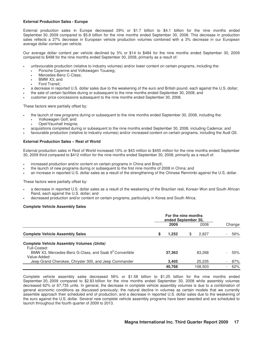# **External Production Sales - Europe**

External production sales in Europe decreased 29% or \$1.7 billion to \$4.1 billion for the nine months ended September 30, 2009 compared to \$5.8 billion for the nine months ended September 30, 2008. This decrease in production sales reflects a 27% decrease in European vehicle production volumes combined with a 3% decrease in our European average dollar content per vehicle.

Our average dollar content per vehicle declined by 3% or \$14 to \$484 for the nine months ended September 30, 2009 compared to \$498 for the nine months ended September 30, 2008, primarily as a result of:

- unfavourable production (relative to industry volumes) and/or lower content on certain programs, including the:
	- Porsche Cayenne and Volkswagen Touareg;
	- Mercedes-Benz C-Class;
	- BMW X3; and
	- Ford Transit;
- a decrease in reported U.S. dollar sales due to the weakening of the euro and British pound, each against the U.S. dollar;
- the sale of certain facilities during or subsequent to the nine months ended September 30, 2008; and
- customer price concessions subsequent to the nine months ended September 30, 2008.

These factors were partially offset by:

- the launch of new programs during or subsequent to the nine months ended September 30, 2008, including the:
	- Volkswagen Golf; and
	- Opel/Vauxhall Insignia:
- acquisitions completed during or subsequent to the nine months ended September 30, 2008, including Cadence; and
- favourable production (relative to industry volumes) and/or increased content on certain programs, including the Audi Q5.

# **External Production Sales – Rest of World**

External production sales in Rest of World increased 10% or \$43 million to \$455 million for the nine months ended September 30, 2009 third compared to \$412 million for the nine months ended September 30, 2008, primarily as a result of:

- increased production and/or content on certain programs in China and Brazil;
- the launch of new programs during or subsequent to the first nine months of 2008 in China; and
- an increase in reported U.S. dollar sales as a result of the strengthening of the Chinese Renminbi against the U.S. dollar.

These factors were partially offset by:

- a decrease in reported U.S. dollar sales as a result of the weakening of the Brazilian real, Korean Won and South African Rand, each against the U.S. dollar; and
- decreased production and/or content on certain programs, particularly in Korea and South Africa.

# **Complete Vehicle Assembly Sales**

|                                                                                    |  | 2009   | 2008        | Change |
|------------------------------------------------------------------------------------|--|--------|-------------|--------|
| <b>Complete Vehicle Assembly Sales</b>                                             |  | 1,252  | \$<br>2.827 | 56%    |
| <b>Complete Vehicle Assembly Volumes (Units)</b><br>Full-Costed:                   |  |        |             |        |
| BMW X3, Mercedes-Benz G-Class, and Saab 9 <sup>3</sup> Convertible<br>Value-Added: |  | 37.363 | 83.268      | 55%    |
| Jeep Grand Cherokee, Chrysler 300, and Jeep Commander                              |  | 3.405  | 25,235      | 87%    |
|                                                                                    |  | 40.768 | 108.503     | 62%    |

Complete vehicle assembly sales decreased 56% or \$1.58 billion to \$1.25 billion for the nine months ended September 30, 2009 compared to \$2.83 billion for the nine months ended September 30, 2008 while assembly volumes decreased 62% or 67,735 units. In general, the decrease in complete vehicle assembly volumes is due to a combination of general economic conditions as discussed previously; the natural decline in volumes as certain models that we currently assemble approach their scheduled end of production; and a decrease in reported U.S. dollar sales due to the weakening of the euro against the U.S. dollar. Several new complete vehicle assembly programs have been awarded and are scheduled to launch throughout the fourth quarter of 2009 to 2013.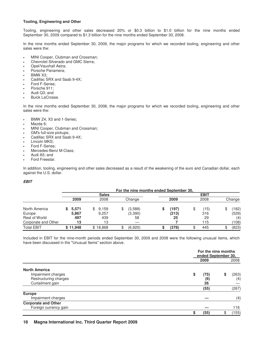# **Tooling, Engineering and Other**

Tooling, engineering and other sales decreased 20% or \$0.3 billion to \$1.0 billion for the nine months ended September 30, 2009 compared to \$1.3 billion for the nine months ended September 30, 2008.

In the nine months ended September 30, 2009, the major programs for which we recorded tooling, engineering and other sales were the:

- MINI Cooper, Clubman and Crossman;
- Chevrolet Silverado and GMC Sierra;
- Opel/Vauxhall Astra;
- Porsche Panamera;
- BMW X3:
- Cadillac SRX and Saab 9-4X;
- Ford F-Series;
- Porsche 911;
- Audi Q3; and
- Buick LaCrosse.

In the nine months ended September 30, 2008, the major programs for which we recorded tooling, engineering and other sales were the:

- BMW Z4, X3 and 1-Series;
- Mazda 6:
- MINI Cooper, Clubman and Crossman;
- GM's full-size pickups;
- Cadillac SRX and Saab 9-4X;
- Lincoln MKS;
- Ford F-Series;
- Mercedes-Benz M-Class;
- Audi A5; and
- Ford Freestar.

In addition, tooling, engineering and other sales decreased as a result of the weakening of the euro and Canadian dollar, each against the U.S. dollar.

# **EBIT**

|                      |          |     |              | For the nine months ended September 30, |       |             |        |
|----------------------|----------|-----|--------------|-----------------------------------------|-------|-------------|--------|
|                      |          |     | <b>Sales</b> |                                         |       | <b>EBIT</b> |        |
|                      | 2009     |     | 2008         | Change                                  | 2009  | 2008        | Change |
| North America        | 5,571    | \$. | 9,159        | (3,588)                                 | (197) | \$<br>(15)  | 182)   |
| Europe               | 5,867    |     | 9,257        | (3,390)                                 | (213) | 316         | (529)  |
| <b>Rest of World</b> | 497      |     | 439          | 58                                      | 25    | 29          | (4)    |
| Corporate and Other  | 13       |     | 13           |                                         |       | 115         | (108)  |
| <b>Total EBIT</b>    | \$11,948 |     | \$18,868     | (6,920)                                 | (378) | 445         | (823)  |

Included in EBIT for the nine-month periods ended September 30, 2009 and 2008 were the following unusual items, which have been discussed in the "Unusual Items" section above.

|                            |            | For the nine months<br>ended September 30, |  |  |  |  |  |  |
|----------------------------|------------|--------------------------------------------|--|--|--|--|--|--|
|                            | 2009       | 2008                                       |  |  |  |  |  |  |
| <b>North America</b>       |            |                                            |  |  |  |  |  |  |
| Impairment charges         | \$<br>(75) | (263)                                      |  |  |  |  |  |  |
| Restructuring charges      | (6)        | (4)                                        |  |  |  |  |  |  |
| Curtailment gain           | 26         |                                            |  |  |  |  |  |  |
|                            | (55)       | (267)                                      |  |  |  |  |  |  |
| Europe                     |            |                                            |  |  |  |  |  |  |
| Impairment charges         |            | (4)                                        |  |  |  |  |  |  |
| <b>Corporate and Other</b> |            |                                            |  |  |  |  |  |  |
| Foreign currency gain      |            | 116                                        |  |  |  |  |  |  |
|                            | (55)<br>S  | (155)                                      |  |  |  |  |  |  |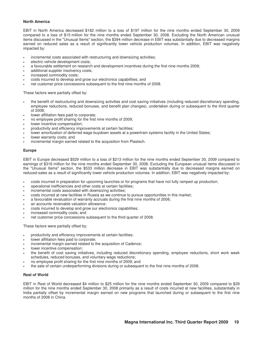# **North America**

EBIT in North America decreased \$182 million to a loss of \$197 million for the nine months ended September 30, 2009 compared to a loss of \$15 million for the nine months ended September 30, 2008. Excluding the North American unusual items discussed in the "Unusual Items" section, the \$394 million decrease in EBIT was substantially due to decreased margins earned on reduced sales as a result of significantly lower vehicle production volumes. In addition, EBIT was negatively impacted by:

- incremental costs associated with restructuring and downsizing activities;
- electric vehicle development costs;
- a favourable settlement on research and development incentives during the first nine months 2008;
- additional supplier insolvency costs;
- increased commodity costs;
- costs incurred to develop and grow our electronics capabilities; and
- net customer price concessions subsequent to the first nine months of 2008.

These factors were partially offset by:

- the benefit of restructuring and downsizing activities and cost saving initiatives (including reduced discretionary spending, employee reductions, reduced bonuses, and benefit plan changes), undertaken during or subsequent to the third quarter of 2008;
- lower affiliation fees paid to corporate;
- no employee profit sharing for the first nine months of 2009;
- lower incentive compensation:
- productivity and efficiency improvements at certain facilities;
- lower amortization of deferred wage buydown assets at a powertrain systems facility in the United States;
- lower warranty costs; and
- incremental margin earned related to the acquisition from Plastech.

### **Europe**

EBIT in Europe decreased \$529 million to a loss of \$213 million for the nine months ended September 30, 2009 compared to earnings of \$316 million for the nine months ended September 30, 2008. Excluding the European unusual items discussed in the "Unusual Items" section, the \$533 million decrease in EBIT was substantially due to decreased margins earned on reduced sales as a result of significantly lower vehicle production volumes. In addition, EBIT was negatively impacted by:

- costs incurred in preparation for upcoming launches or for programs that have not fully ramped up production;
- operational inefficiencies and other costs at certain facilities;
- incremental costs associated with downsizing activities;
- costs incurred at new facilities in Russia as we continue to pursue opportunities in this market;
- a favourable revaluation of warranty accruals during the first nine months of 2008;
- an accounts receivable valuation allowance;
- costs incurred to develop and grow our electronics capabilities;
- increased commodity costs; and
- net customer price concessions subsequent to the third quarter of 2008.

These factors were partially offset by:

- productivity and efficiency improvements at certain facilities;
- lower affiliation fees paid to corporate;
- incremental margin earned related to the acquisition of Cadence;
- lower incentive compensation;
- the benefit of cost saving initiatives, including reduced discretionary spending, employee reductions, short work week schedules, reduced bonuses, and voluntary wage reductions;
- no employee profit sharing for the first nine months of 2009; and
- the sale of certain underperforming divisions during or subsequent to the first nine months of 2008.

# **Rest of World**

EBIT in Rest of World decreased \$4 million to \$25 million for the nine months ended September 30, 2009 compared to \$29 million for the nine months ended September 30, 2008 primarily as a result of costs incurred at new facilities, substantially in India partially offset by incremental margin earned on new programs that launched during or subsequent to the first nine months of 2008 in China.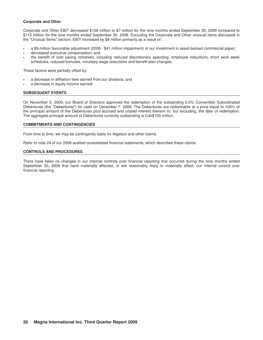### **Corporate and Other**

Corporate and Other EBIT decreased \$108 million to \$7 million for the nine months ended September 30, 2009 compared to \$115 million for the nine months ended September 30, 2008. Excluding the Corporate and Other unusual items discussed in the "Unusual Items" section, EBIT increased by \$8 million primarily as a result of:

- a \$9 million favourable adjustment (2008 \$41 million impairment) of our investment in asset-backed commercial paper;
- decreased executive compensation; and
- the benefit of cost saving initiatives, including reduced discretionary spending, employee reductions, short work week schedules, reduced bonuses, voluntary wage reductions and benefit plan changes.

These factors were partially offset by:

- a decrease in affiliation fees earned from our divisions; and
- a decrease in equity income earned.

# **SUBSEQUENT EVENTS**

On November 5, 2009, our Board of Directors approved the redemption of the outstanding 6.5% Convertible Subordinated Debentures (the "Debentures") for cash on December 7, 2009. The Debentures are redeemable at a price equal to 100% of the principal amount of the Debentures plus accrued and unpaid interest thereon to, but excluding, the date of redemption. The aggregate principal amount of Debentures currently outstanding is Cdn\$100 million.

### **COMMITMENTS AND CONTINGENCIES**

From time to time, we may be contingently liable for litigation and other claims.

Refer to note 24 of our 2008 audited consolidated financial statements, which describes these claims.

### **CONTROLS AND PROCEDURES**

There have been no changes in our internal controls over financial reporting that occurred during the nine months ended September 30, 2009 that have materially affected, or are reasonably likely to materially affect, our internal control over financial reporting.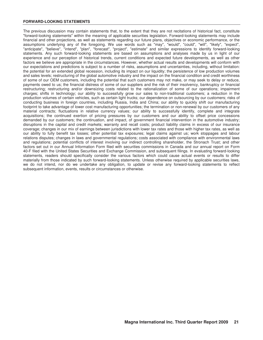### **FORWARD-LOOKING STATEMENTS**

The previous discussion may contain statements that, to the extent that they are not recitations of historical fact, constitute "forward-looking statements" within the meaning of applicable securities legislation. Forward-looking statements may include financial and other projections, as well as statements regarding our future plans, objectives or economic performance, or the assumptions underlying any of the foregoing. We use words such as "may", "would", "could", "will", "likely", "expect", "anticipate", "believe", "intend", "plan", "forecast", "project", "estimate" and similar expressions to identify forward-looking statements. Any such forward-looking statements are based on assumptions and analyses made by us in light of our experience and our perception of historical trends, current conditions and expected future developments, as well as other factors we believe are appropriate in the circumstances. However, whether actual results and developments will conform with our expectations and predictions is subject to a number of risks, assumptions and uncertainties, including, without limitation: the potential for an extended global recession, including its impact on our liquidity; the persistence of low production volumes and sales levels; restructuring of the global automotive industry and the impact on the financial condition and credit worthiness of some of our OEM customers, including the potential that such customers may not make, or may seek to delay or reduce, payments owed to us; the financial distress of some of our suppliers and the risk of their insolvency, bankruptcy or financial restructuring; restructuring and/or downsizing costs related to the rationalization of some of our operations; impairment charges; shifts in technology; our ability to successfully grow our sales to non-traditional customers; a reduction in the production volumes of certain vehicles, such as certain light trucks; our dependence on outsourcing by our customers; risks of conducting business in foreign countries, including Russia, India and China; our ability to quickly shift our manufacturing footprint to take advantage of lower cost manufacturing opportunities; the termination or non-renewal by our customers of any material contracts; fluctuations in relative currency values; our ability to successfully identify, complete and integrate acquisitions; the continued exertion of pricing pressures by our customers and our ability to offset price concessions demanded by our customers; the continuation, and impact, of government financial intervention in the automotive industry; disruptions in the capital and credit markets; warranty and recall costs; product liability claims in excess of our insurance coverage; changes in our mix of earnings between jurisdictions with lower tax rates and those with higher tax rates, as well as our ability to fully benefit tax losses; other potential tax exposures; legal claims against us; work stoppages and labour relations disputes; changes in laws and governmental regulations; costs associated with compliance with environmental laws and regulations; potential conflicts of interest involving our indirect controlling shareholder, the Stronach Trust; and other factors set out in our Annual Information Form filed with securities commissions in Canada and our annual report on Form 40-F filed with the United States Securities and Exchange Commission, and subsequent filings. In evaluating forward-looking statements, readers should specifically consider the various factors which could cause actual events or results to differ materially from those indicated by such forward-looking statements. Unless otherwise required by applicable securities laws, we do not intend, nor do we undertake any obligation, to update or revise any forward-looking statements to reflect subsequent information, events, results or circumstances or otherwise.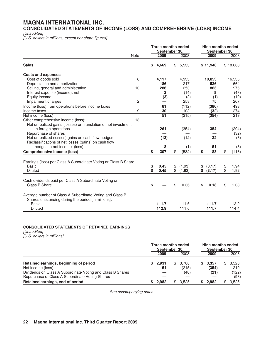# **MAGNA INTERNATIONAL INC.**

**CONSOLIDATED STATEMENTS OF INCOME (LOSS) AND COMPREHENSIVE (LOSS) INCOME** 

[Unaudited]

[U.S. dollars in millions, except per share figures]

|                                                                  |             | <b>Three months ended</b><br>September 30, |              | Nine months ended<br>September 30. |          |    |          |
|------------------------------------------------------------------|-------------|--------------------------------------------|--------------|------------------------------------|----------|----|----------|
|                                                                  | <b>Note</b> | 2009                                       | 2008         |                                    | 2009     |    | 2008     |
| <b>Sales</b>                                                     |             | \$<br>4,669                                | \$<br>5,533  |                                    | \$11,948 |    | \$18,868 |
| <b>Costs and expenses</b>                                        |             |                                            |              |                                    |          |    |          |
| Cost of goods sold                                               | 8           | 4,117                                      | 4,933        |                                    | 10,853   |    | 16,535   |
| Depreciation and amortization                                    |             | 186                                        | 217          |                                    | 536      |    | 664      |
| Selling, general and administrative                              | 10          | 286                                        | 253          |                                    | 863      |    | 976      |
| Interest expense (income), net                                   |             | $\mathbf{2}$                               | (14)         |                                    | 8        |    | (48)     |
| Equity income                                                    |             | (3)                                        | (2)          |                                    | (1)      |    | (19)     |
| Impairment charges                                               | 2           |                                            | 258          |                                    | 75       |    | 267      |
| Income (loss) from operations before income taxes                |             | 81                                         | (112)        |                                    | (386)    |    | 493      |
| Income taxes                                                     | 9           | 30                                         | 103          |                                    | (32)     |    | 274      |
| Net income (loss)                                                |             | $\overline{51}$                            | (215)        |                                    | (354)    |    | 219      |
| Other comprehensive income (loss):                               | 13          |                                            |              |                                    |          |    |          |
| Net unrealized gains (losses) on translation of net investment   |             |                                            |              |                                    |          |    |          |
| in foreign operations                                            |             | 261                                        | (354)        |                                    | 354      |    | (294)    |
| Repurchase of shares                                             |             |                                            |              |                                    |          |    | (32)     |
| Net unrealized (losses) gains on cash flow hedges                |             | (13)                                       | (12)         |                                    | 32       |    | (6)      |
| Reclassifications of net losses (gains) on cash flow             |             |                                            |              |                                    |          |    |          |
| hedges to net income (loss)                                      |             | 8                                          | (1)          |                                    | 51       |    | (3)      |
| <b>Comprehensive income (loss)</b>                               |             | \$<br>307                                  | \$<br>(582)  | \$                                 | 83       | \$ | (116)    |
| Earnings (loss) per Class A Subordinate Voting or Class B Share: |             |                                            |              |                                    |          |    |          |
| <b>Basic</b>                                                     |             | \$<br>0.45                                 | \$<br>(1.93) | \$                                 | (3.17)   | \$ | 1.94     |
| <b>Diluted</b>                                                   |             | \$<br>0.45                                 | \$<br>(1.93) | \$                                 | (3.17)   | \$ | 1.92     |
|                                                                  |             |                                            |              |                                    |          |    |          |
| Cash dividends paid per Class A Subordinate Voting or            |             |                                            |              |                                    |          |    |          |
| Class B Share                                                    |             | \$                                         | \$<br>0.36   | \$                                 | 0.18     | \$ | 1.08     |
|                                                                  |             |                                            |              |                                    |          |    |          |
| Average number of Class A Subordinate Voting and Class B         |             |                                            |              |                                    |          |    |          |
| Shares outstanding during the period [in millions]:              |             |                                            |              |                                    |          |    |          |
| <b>Basic</b>                                                     |             | 111.7                                      | 111.6        |                                    | 111.7    |    | 113.2    |
| <b>Diluted</b>                                                   |             | 112.9                                      | 111.6        |                                    | 111.7    |    | 114.4    |

# **CONSOLIDATED STATEMENTS OF RETAINED EARNINGS**

[Unaudited] [U.S. dollars in millions]

|                                                                                                               | Three months ended<br>September 30, |             |  |                  |  | Nine months ended<br>September 30, |    |               |  |
|---------------------------------------------------------------------------------------------------------------|-------------------------------------|-------------|--|------------------|--|------------------------------------|----|---------------|--|
|                                                                                                               |                                     | 2009        |  | 2008             |  | 2009                               |    | 2008          |  |
| Retained earnings, beginning of period<br>Net income (loss)                                                   |                                     | 2.931<br>51 |  | \$3.780<br>(215) |  | \$3.357<br>(354)                   | \$ | 3.526<br>219  |  |
| Dividends on Class A Subordinate Voting and Class B Shares<br>Repurchase of Class A Subordinate Voting Shares |                                     |             |  | (40)             |  | (21)                               |    | (122)<br>(98) |  |
| Retained earnings, end of period                                                                              |                                     | 2.982       |  | 3.525            |  | 2.982                              |    | 3.525         |  |

See accompanying notes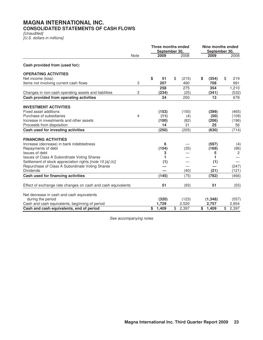# **MAGNA INTERNATIONAL INC. CONSOLIDATED STATEMENTS OF CASH FLOWS**

[Unaudited] [U.S. dollars in millions]

|                                                              |                | <b>Three months ended</b><br>September 30, |             |   |          |                         | Nine months ended<br>September 30. |  |  |
|--------------------------------------------------------------|----------------|--------------------------------------------|-------------|---|----------|-------------------------|------------------------------------|--|--|
|                                                              | <b>Note</b>    | 2009                                       | 2008        |   | 2009     |                         | 2008                               |  |  |
| Cash provided from (used for):                               |                |                                            |             |   |          |                         |                                    |  |  |
| <b>OPERATING ACTIVITIES</b>                                  |                |                                            |             |   |          |                         |                                    |  |  |
| Net income (loss)                                            |                | \$<br>51                                   | \$<br>(215) | S | (354)    | \$                      | 219                                |  |  |
| Items not involving current cash flows                       | 3              | 207                                        | 490         |   | 708      |                         | 991                                |  |  |
|                                                              |                | 258                                        | 275         |   | 354      |                         | 1,210                              |  |  |
| Changes in non-cash operating assets and liabilities         | 3              | (234)                                      | (25)        |   | (341)    |                         | (532)                              |  |  |
| Cash provided from operating activities                      |                | 24                                         | 250         |   | 13       |                         | 678                                |  |  |
| <b>INVESTMENT ACTIVITIES</b>                                 |                |                                            |             |   |          |                         |                                    |  |  |
| Fixed asset additions                                        |                | (153)                                      | (150)       |   | (399)    |                         | (465)                              |  |  |
| Purchase of subsidiaries                                     | $\overline{4}$ | (11)                                       | (4)         |   | (50)     |                         | (109)                              |  |  |
| Increase in investments and other assets                     |                | (100)                                      | (82)        |   | (206)    |                         | (196)                              |  |  |
| Proceeds from disposition                                    |                | 14                                         | 31          |   | 25       |                         | 56                                 |  |  |
| Cash used for investing activities                           |                | (250)                                      | (205)       |   | (630)    |                         | (714)                              |  |  |
|                                                              |                |                                            |             |   |          |                         |                                    |  |  |
| <b>FINANCING ACTIVITIES</b>                                  |                |                                            |             |   |          |                         |                                    |  |  |
| Increase (decrease) in bank indebtedness                     |                | 6                                          |             |   | (597)    |                         | (4)                                |  |  |
| Repayments of debt<br>Issues of debt                         |                | (154)                                      | (35)        |   | (169)    |                         | (96)<br>$\overline{2}$             |  |  |
| Issues of Class A Subordinate Voting Shares                  |                | 3<br>1                                     |             |   | 5<br>1   |                         |                                    |  |  |
| Settlement of stock appreciation rights [note 10 [a] (ii)]   |                | (1)                                        |             |   | (1)      |                         |                                    |  |  |
| Repurchase of Class A Subordinate Voting Shares              |                |                                            |             |   |          |                         | (247)                              |  |  |
| <b>Dividends</b>                                             |                |                                            | (40)        |   | (21)     |                         | (121)                              |  |  |
| Cash used for financing activities                           |                | (145)                                      | (75)        |   | (782)    |                         | (466)                              |  |  |
| Effect of exchange rate changes on cash and cash equivalents |                | 51                                         | (93)        |   | 51       |                         | (55)                               |  |  |
|                                                              |                |                                            |             |   |          |                         |                                    |  |  |
| Net decrease in cash and cash equivalents                    |                |                                            |             |   |          |                         |                                    |  |  |
| during the period                                            |                | (320)                                      | (123)       |   | (1, 348) |                         | (557)                              |  |  |
| Cash and cash equivalents, beginning of period               |                | 1,729                                      | 2,520       |   | 2,757    |                         | 2,954                              |  |  |
| Cash and cash equivalents, end of period                     |                | \$<br>1,409                                | \$<br>2,397 |   | \$1,409  | $\overline{\mathbb{S}}$ | 2,397                              |  |  |

See accompanying notes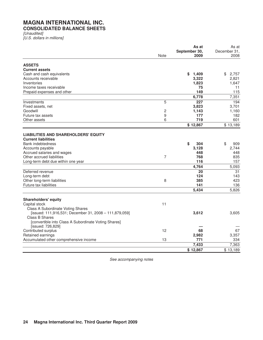# **MAGNA INTERNATIONAL INC. CONSOLIDATED BALANCE SHEETS**

[Unaudited] [U.S. dollars in millions]

|                                                        |      | As at                 | As at                |
|--------------------------------------------------------|------|-----------------------|----------------------|
|                                                        | Note | September 30,<br>2009 | December 31,<br>2008 |
|                                                        |      |                       |                      |
| <b>ASSETS</b>                                          |      |                       |                      |
| <b>Current assets</b>                                  |      |                       |                      |
| Cash and cash equivalents                              |      | \$<br>1,409           | 2,757<br>\$          |
| Accounts receivable                                    |      | 3,322                 | 2,821                |
| Inventories                                            |      | 1,823                 | 1,647                |
| Income taxes receivable                                |      | 75                    | 11                   |
| Prepaid expenses and other                             |      | 149                   | 115                  |
|                                                        |      | 6,778                 | 7,351                |
| Investments                                            | 5    | 227                   | 194                  |
| Fixed assets, net                                      |      | 3,823                 | 3,701                |
| Goodwill                                               | 2    | 1,143                 | 1,160                |
| Future tax assets                                      | 9    | 177                   | 182                  |
| Other assets                                           | 6    | 719                   | 601                  |
|                                                        |      | \$12,867              | \$13,189             |
|                                                        |      |                       |                      |
| <b>LIABILITIES AND SHAREHOLDERS' EQUITY</b>            |      |                       |                      |
| <b>Current liabilities</b>                             |      |                       |                      |
| <b>Bank indebtedness</b>                               |      | \$<br>304             | \$<br>909            |
| Accounts payable                                       |      | 3,128                 | 2,744                |
| Accrued salaries and wages                             |      | 448                   | 448                  |
| Other accrued liabilities                              | 7    | 768                   | 835                  |
| Long-term debt due within one year                     |      | 116                   | 157                  |
|                                                        |      | 4,764                 | 5,093                |
| Deferred revenue                                       |      | 20                    | 31                   |
| Long-term debt                                         |      | 124                   | 143                  |
| Other long-term liabilities                            | 8    | 385                   | 423                  |
| Future tax liabilities                                 |      | 141                   | 136                  |
|                                                        |      | 5,434                 | 5,826                |
|                                                        |      |                       |                      |
| <b>Shareholders' equity</b>                            |      |                       |                      |
| Capital stock                                          | 11   |                       |                      |
| Class A Subordinate Voting Shares                      |      |                       |                      |
| [issued: 111,916,531; December 31, 2008 - 111,879,059] |      | 3,612                 | 3,605                |
| Class B Shares                                         |      |                       |                      |
| [convertible into Class A Subordinate Voting Shares]   |      |                       |                      |
| [issued: 726,829]                                      |      |                       |                      |
| Contributed surplus                                    | 12   | 68                    | 67                   |
| Retained earnings                                      |      | 2,982                 | 3,357                |
| Accumulated other comprehensive income                 | 13   | 771                   | 334                  |
|                                                        |      | 7,433                 | 7,363                |
|                                                        |      | \$12,867              | \$13,189             |

See accompanying notes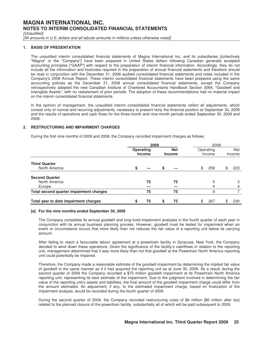[Unaudited]

[All amounts in U.S. dollars and all tabular amounts in millions unless otherwise noted]

# **1. BASIS OF PRESENTATION**

The unaudited interim consolidated financial statements of Magna International Inc. and its subsidiaries [collectively "Magna" or the "Company"] have been prepared in United States dollars following Canadian generally accepted accounting principles ["GAAP"] with respect to the preparation of interim financial information. Accordingly, they do not include all the information and footnotes required in the preparation of annual financial statements and therefore should be read in conjunction with the December 31, 2008 audited consolidated financial statements and notes included in the Company's 2008 Annual Report. These interim consolidated financial statements have been prepared using the same accounting policies as the December 31, 2008 annual consolidated financial statements, except the Company retrospectively adopted the new Canadian Institute of Chartered Accountants Handbook Section 3064, "Goodwill and Intangible Assets", with no restatement of prior periods. The adoption of these recommendations had no material impact on the interim consolidated financial statements.

In the opinion of management, the unaudited interim consolidated financial statements reflect all adjustments, which consist only of normal and recurring adjustments, necessary to present fairly the financial position at September 30, 2009 and the results of operations and cash flows for the three-month and nine-month periods ended September 30, 2009 and 2008.

# **2. RESTRUCTURING AND IMPAIRMENT CHARGES**

During the first nine months of 2009 and 2008, the Company recorded impairment charges as follows:

|                                         | 2009 |                                                           |   | 2008                |    |     |                      |        |
|-----------------------------------------|------|-----------------------------------------------------------|---|---------------------|----|-----|----------------------|--------|
|                                         |      | <b>Net</b><br>Operating<br><b>Income</b><br><b>Income</b> |   | Operating<br>Income |    |     | <b>Net</b><br>Income |        |
| <b>Third Quarter</b><br>North America   | \$   |                                                           |   |                     | \$ | 258 | S                    | 223    |
| <b>Second Quarter</b>                   |      |                                                           |   |                     |    |     |                      |        |
| North America<br>Europe                 |      | 75                                                        |   | 75                  |    | 5   |                      | 3<br>4 |
| Total second quarter impairment charges |      | 75                                                        |   | 75                  |    | 9   |                      |        |
| Total year to date impairment charges   | ъ    | 75                                                        | S | 75                  | \$ | 267 | \$                   | 230    |

#### **[a] For the nine months ended September 30, 2009**

The Company completes its annual goodwill and long-lived impairment analyses in the fourth quarter of each year in conjunction with its annual business planning process. However, goodwill must be tested for impairment when an event or circumstance occurs that more likely than not reduces the fair value of a reporting unit below its carrying amount.

After failing to reach a favourable labour agreement at a powertrain facility in Syracuse, New York, the Company decided to wind down these operations. Given the significance of the facility's cashflows in relation to the reporting unit, management determined that it was more likely than not that goodwill at the Powertrain North America reporting unit could potentially be impaired.

Therefore, the Company made a reasonable estimate of the goodwill impairment by determining the implied fair value of goodwill in the same manner as if it had acquired the reporting unit as at June 30, 2009. As a result, during the second quarter of 2009 the Company recorded a \$75 million goodwill impairment at its Powertrain North America reporting unit, representing its best estimate of the impairment. Due to the judgment involved in determining the fair value of the reporting unit's assets and liabilities, the final amount of the goodwill impairment charge could differ from the amount estimated. An adjustment, if any, to the estimated impairment charge, based on finalization of the impairment analysis, would be recorded during the fourth quarter of 2009.

During the second quarter of 2009, the Company recorded restructuring costs of \$6 million [\$6 million after tax] related to the planned closure of the powertrain facility, substantially all of which will be paid subsequent to 2009.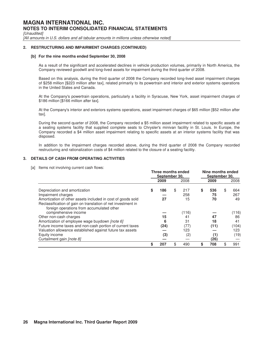[Unaudited]

[All amounts in U.S. dollars and all tabular amounts in millions unless otherwise noted]

### **2. RESTRUCTURING AND IMPAIRMENT CHARGES (CONTINUED)**

#### **[b] For the nine months ended September 30, 2008**

As a result of the significant and accelerated declines in vehicle production volumes, primarily in North America, the Company reviewed goodwill and long-lived assets for impairment during the third quarter of 2008.

Based on this analysis, during the third quarter of 2008 the Company recorded long-lived asset impairment charges of \$258 million [\$223 million after tax], related primarily to its powertrain and interior and exterior systems operations in the United States and Canada.

At the Company's powertrain operations, particularly a facility in Syracuse, New York, asset impairment charges of \$186 million [\$166 million after tax].

At the Company's interior and exteriors systems operations, asset impairment charges of \$65 million [\$52 million after tax].

During the second quarter of 2008, the Company recorded a \$5 million asset impairment related to specific assets at a seating systems facility that supplied complete seats to Chrysler's minivan facility in St. Louis. In Europe, the Company recorded a \$4 million asset impairment relating to specific assets at an interior systems facility that was disposed.

In addition to the impairment charges recorded above, during the third quarter of 2008 the Company recorded restructuring and rationalization costs of \$4 million related to the closure of a seating facility.

# **3. DETAILS OF CASH FROM OPERATING ACTIVITIES**

[a] Items not involving current cash flows:

|                                                                                                           | Three months ended<br>September 30, |           | Nine months ended<br>September 30. |      |    |       |  |  |
|-----------------------------------------------------------------------------------------------------------|-------------------------------------|-----------|------------------------------------|------|----|-------|--|--|
|                                                                                                           | 2009                                | 2008      |                                    | 2009 |    | 2008  |  |  |
| Depreciation and amortization                                                                             | \$<br>186                           | \$<br>217 | \$                                 | 536  | \$ | 664   |  |  |
| Impairment charges                                                                                        |                                     | 258       |                                    | 75   |    | 267   |  |  |
| Amortization of other assets included in cost of goods sold                                               | 27                                  | 15        |                                    | 70   |    | 49    |  |  |
| Reclassification of gain on translation of net investment in<br>foreign operations from accumulated other |                                     |           |                                    |      |    |       |  |  |
| comprehensive income                                                                                      |                                     | (116)     |                                    |      |    | (116) |  |  |
| Other non-cash charges                                                                                    | 15                                  | 41        |                                    | 47   |    | 86    |  |  |
| Amortization of employee wage buydown <i>[note 6]</i>                                                     | 6                                   | 31        |                                    | 18   |    | 41    |  |  |
| Future income taxes and non-cash portion of current taxes                                                 | (24)                                | (77)      |                                    | (11) |    | (104) |  |  |
| Valuation allowance established against future tax assets                                                 |                                     | 123       |                                    |      |    | 123   |  |  |
| Equity income                                                                                             | (3)                                 | (2)       |                                    | (1)  |    | (19)  |  |  |
| Curtailment gain <i>[note 8]</i>                                                                          |                                     |           |                                    | (26) |    |       |  |  |
|                                                                                                           | \$<br>207                           | \$<br>490 | \$                                 | 708  | \$ | 991   |  |  |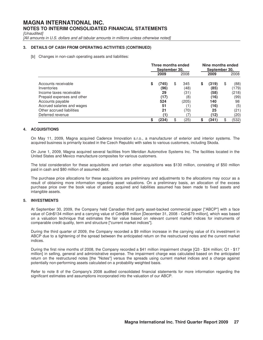[Unaudited]

[All amounts in U.S. dollars and all tabular amounts in millions unless otherwise noted]

# **3. DETAILS OF CASH FROM OPERATING ACTIVITIES (CONTINUED)**

[b] Changes in non-cash operating assets and liabilities:

|                                                |    | Three months ended<br>September 30, | Nine months ended<br>September 30, |              |    |               |    |               |
|------------------------------------------------|----|-------------------------------------|------------------------------------|--------------|----|---------------|----|---------------|
|                                                |    | 2009                                |                                    | 2008         |    | 2009          |    | 2008          |
| Accounts receivable<br>Inventories             | S  | (745)<br>(96)                       | \$                                 | 345<br>(48)  | \$ | (319)<br>(85) | \$ | (88)<br>(179) |
| Income taxes receivable                        |    | 29                                  |                                    | (31)         |    | (58)          |    | (218)         |
| Prepaid expenses and other<br>Accounts payable |    | (17)<br>524                         |                                    | (8)<br>(205) |    | (16)<br>140   |    | (99)<br>98    |
| Accrued salaries and wages                     |    | 51                                  |                                    | 1)           |    | (16)          |    | (5)           |
| Other accrued liabilities                      |    | 21                                  |                                    | (70)         |    | 25            |    | (21)          |
| Deferred revenue                               | \$ | (1`<br>(234)                        | \$                                 | (25)         | S  | (12)<br>(341) |    | (20)<br>(532) |

# **4. ACQUISITIONS**

On May 11, 2009, Magna acquired Cadence Innovation s.r.o., a manufacturer of exterior and interior systems. The acquired business is primarily located in the Czech Republic with sales to various customers, including Skoda.

On June 1, 2009, Magna acquired several facilities from Meridian Automotive Systems Inc. The facilities located in the United States and Mexico manufacture composites for various customers.

The total consideration for these acquisitions and certain other acquisitions was \$130 million, consisting of \$50 million paid in cash and \$80 million of assumed debt.

The purchase price allocations for these acquisitions are preliminary and adjustments to the allocations may occur as a result of obtaining more information regarding asset valuations. On a preliminary basis, an allocation of the excess purchase price over the book value of assets acquired and liabilities assumed has been made to fixed assets and intangible assets.

# **5. INVESTMENTS**

At September 30, 2009, the Company held Canadian third party asset-backed commercial paper ["ABCP"] with a face value of Cdn\$134 million and a carrying value of Cdn\$88 million [December 31, 2008 - Cdn\$79 million], which was based on a valuation technique that estimates the fair value based on relevant current market indices for instruments of comparable credit quality, term and structure ["current market indices"].

During the third quarter of 2009, the Company recorded a \$9 million increase in the carrying value of it's investment in ABCP due to a tightening of the spread between the anticipated return on the restructured notes and the current market indices.

During the first nine months of 2008, the Company recorded a \$41 million impairment charge [Q3 - \$24 million; Q1 - \$17 million] in selling, general and administrative expense. The impairment charge was calculated based on the anticipated return on the restructured notes [the "Notes"] versus the spreads using current market indices and a charge against potentially non-performing assets calculated on a probability weighted basis.

Refer to note 8 of the Company's 2008 audited consolidated financial statements for more information regarding the significant estimates and assumptions incorporated into the valuation of our ABCP.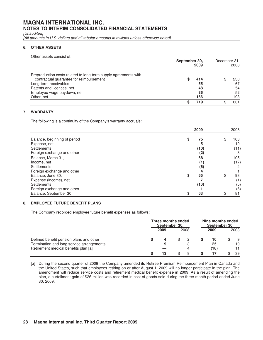[Unaudited]

[All amounts in U.S. dollars and all tabular amounts in millions unless otherwise noted]

# **6. OTHER ASSETS**

Other assets consist of:

|                                                                 | September 30,<br>2009 |     | December 31,<br>2008 |     |
|-----------------------------------------------------------------|-----------------------|-----|----------------------|-----|
| Preproduction costs related to long-term supply agreements with |                       |     |                      |     |
| contractual guarantee for reimbursement                         |                       | 414 |                      | 230 |
| Long-term receivables                                           |                       | 55  |                      | 67  |
| Patents and licences, net                                       |                       | 48  |                      | 54  |
| Employee wage buydown, net                                      |                       | 36  |                      | 52  |
| Other, net                                                      |                       | 166 |                      | 198 |
|                                                                 |                       | 719 |                      | 601 |

# **7. WARRANTY**

The following is a continuity of the Company's warranty accruals:

|                              |    | 2009 | 2008      |
|------------------------------|----|------|-----------|
| Balance, beginning of period | \$ | 75   | \$<br>103 |
| Expense, net                 |    | 5    | 10        |
| Settlements                  |    | (10) | (11)      |
| Foreign exchange and other   |    | (2)  |           |
| Balance, March 31,           |    | 68   | 105       |
| Income, net                  |    | (1)  | (17)      |
| Settlements                  |    | (6)  |           |
| Foreign exchange and other   |    |      |           |
| Balance, June 30,            | \$ | 65   | \$<br>93  |
| Expense (income), net        |    |      | (1)       |
| <b>Settlements</b>           |    | (10) | (5)       |
| Foreign exchange and other   |    |      | (6)       |
| Balance, September 30,       | S  | 63   | 81        |

# **8. EMPLOYEE FUTURE BENEFIT PLANS**

The Company recorded employee future benefit expenses as follows:

|                                           | Three months ended<br>September 30, |      |  | Nine months ended<br>September 30. |      |      |
|-------------------------------------------|-------------------------------------|------|--|------------------------------------|------|------|
|                                           |                                     | 2009 |  | 2008                               | 2009 | 2008 |
| Defined benefit pension plans and other   |                                     |      |  |                                    | 10   | -9   |
| Termination and long service arrangements |                                     |      |  | З                                  | 25   | 19   |
| Retirement medical benefits plan [a]      |                                     |      |  |                                    | (18) |      |
|                                           |                                     |      |  | 9                                  |      | 39   |

[a] During the second quarter of 2009 the Company amended its Retiree Premium Reimbursement Plan in Canada and the United States, such that employees retiring on or after August 1, 2009 will no longer participate in the plan. The amendment will reduce service costs and retirement medical benefit expense in 2009. As a result of amending the plan, a curtailment gain of \$26 million was recorded in cost of goods sold during the three-month period ended June 30, 2009.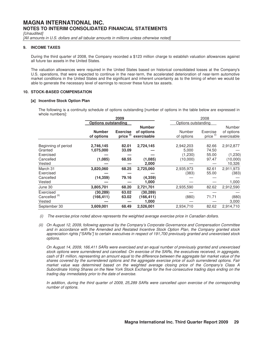[Unaudited]

[All amounts in U.S. dollars and all tabular amounts in millions unless otherwise noted]

### **9. INCOME TAXES**

During the third quarter of 2008, the Company recorded a \$123 million charge to establish valuation allowances against all future tax assets in the United States.

The valuation allowances were required in the United States based on historical consolidated losses at the Company's U.S. operations, that were expected to continue in the near-term, the accelerated deterioration of near-term automotive market conditions in the United States and the significant and inherent uncertainty as to the timing of when we would be able to generate the necessary level of earnings to recover these future tax assets.

# **10. STOCK-BASED COMPENSATION**

### **[a] Incentive Stock Option Plan**

 The following is a continuity schedule of options outstanding [number of options in the table below are expressed in whole numbers]:

|                                                                    |                                   | 2009                         |                                            |                                           | 2008                             |                                            |
|--------------------------------------------------------------------|-----------------------------------|------------------------------|--------------------------------------------|-------------------------------------------|----------------------------------|--------------------------------------------|
|                                                                    | <b>Options outstanding</b>        |                              |                                            | Options outstanding                       |                                  |                                            |
|                                                                    | <b>Number</b><br>of options       | <b>Exercise</b><br>price (i) | <b>Number</b><br>of options<br>exercisable | Number<br>of options                      | Exercise<br>price <sup>(i)</sup> | Number<br>of options<br>exercisable        |
| Beginning of period<br>Granted<br>Exercised<br>Cancelled<br>Vested | 2,746,145<br>1,075,000<br>(1,085) | 82.01<br>33.09<br>68.55      | 2,724,145<br>(1,085)<br>2,000              | 2,942,203<br>5,000<br>(1,230)<br>(10,000) | 82.66<br>74.50<br>55.00<br>97.47 | 2,912,877<br>(1,230)<br>(10,000)<br>10,326 |
| March 31<br>Exercised<br>Cancelled<br>Vested                       | 3,820,060<br>(14, 359)            | 68.25<br>79.16               | 2,725,060<br>(4, 359)<br>1,000             | 2,935,973<br>(383)                        | 82.61<br>55.00                   | 2,911,973<br>(383)<br>1,000                |
| June 30                                                            | 3,805,701                         | 68.20                        | 2,721,701                                  | 2,935,590                                 | 82.62                            | 2,912,590                                  |
| Exercised<br>Cancelled <sup>(ii)</sup><br>Vested                   | (30, 289)<br>(166, 411)           | 63.02<br>63.02               | (30, 289)<br>(166, 411)<br>1,000           | (880)                                     | 71.71                            | (880)<br>3,000                             |
| September 30                                                       | 3,609,001                         | 68.49                        | 2,526,001                                  | 2,934,710                                 | 82.62                            | 2,914,710                                  |

(i) The exercise price noted above represents the weighted average exercise price in Canadian dollars.

(ii) On August 12, 2009, following approval by the Company's Corporate Governance and Compensation Committee and in accordance with the Amended and Restated Incentive Stock Option Plan, the Company granted stock appreciation rights ["SARs"] to certain executives in respect of 191,700 previously granted and unexercised stock options.

On August 14, 2009, 166,411 SARs were exercised and an equal number of previously granted and unexercised stock options were surrendered and cancelled. On exercise of the SARs, the executives received, in aggregate, cash of \$1 million, representing an amount equal to the difference between the aggregate fair market value of the shares covered by the surrendered options and the aggregate exercise price of such surrendered options. Fair market value was determined based on the weighted average closing price of the Company's Class A Subordinate Voting Shares on the New York Stock Exchange for the five consecutive trading days ending on the trading day immediately prior to the date of exercise.

In addition, during the third quarter of 2009, 25,289 SARs were cancelled upon exercise of the corresponding number of options.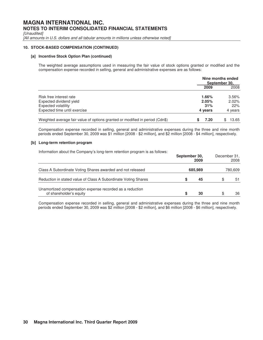[Unaudited]

[All amounts in U.S. dollars and all tabular amounts in millions unless otherwise noted]

# **10. STOCK-BASED COMPENSATION (CONTINUED)**

### **[a] Incentive Stock Option Plan (continued)**

The weighted average assumptions used in measuring the fair value of stock options granted or modified and the compensation expense recorded in selling, general and administrative expenses are as follows:

|                                                                              |         | Nine months ended<br>September 30, |
|------------------------------------------------------------------------------|---------|------------------------------------|
|                                                                              | 2009    | 2008                               |
| Risk free interest rate                                                      | 1.66%   | 3.56%                              |
| Expected dividend yield                                                      | 2.05%   | $2.02\%$                           |
| Expected volatility                                                          | 31%     | 22%                                |
| Expected time until exercise                                                 | 4 years | 4 years                            |
| Weighted average fair value of options granted or modified in period (Cdn\$) | 7.20    | 13.65                              |

Compensation expense recorded in selling, general and administrative expenses during the three and nine month periods ended September 30, 2009 was \$1 million [2008 - \$2 million], and \$2 million [2008 - \$4 million], respectively.

#### **[b] Long-term retention program**

Information about the Company's long-term retention program is as follows:

|                                                                                     | September 30,<br>2009 | December 31, | 2008    |
|-------------------------------------------------------------------------------------|-----------------------|--------------|---------|
| Class A Subordinate Voting Shares awarded and not released                          | 685,989               |              | 780,609 |
| Reduction in stated value of Class A Subordinate Voting Shares                      | 45                    |              | 51      |
| Unamortized compensation expense recorded as a reduction<br>of shareholder's equity | 30                    | \$           | 36      |

Compensation expense recorded in selling, general and administrative expenses during the three and nine month periods ended September 30, 2009 was \$2 million [2008 - \$2 million], and \$6 million [2008 - \$6 million], respectively.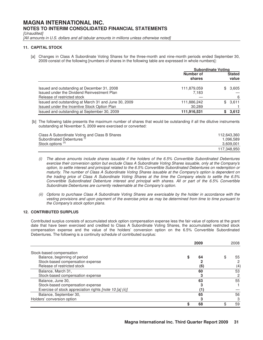[Unaudited]

[All amounts in U.S. dollars and all tabular amounts in millions unless otherwise noted]

# **11. CAPITAL STOCK**

[a] Changes in Class A Subordinate Voting Shares for the three-month and nine-month periods ended September 30, 2009 consist of the following [numbers of shares in the following table are expressed in whole numbers]:

|                                                                                                                           | <b>Subordinate Voting</b> |                        |              |
|---------------------------------------------------------------------------------------------------------------------------|---------------------------|------------------------|--------------|
|                                                                                                                           | Number of<br>shares       | <b>Stated</b><br>value |              |
| Issued and outstanding at December 31, 2008<br>Issued under the Dividend Reinvestment Plan<br>Release of restricted stock | 111,879,059<br>7,183      |                        | \$3,605<br>6 |
| Issued and outstanding at March 31 and June 30, 2009<br>Issued under the Incentive Stock Option Plan                      | 111,886,242<br>30,289     |                        | \$3,611      |
| Issued and outstanding at September 30, 2009                                                                              | 111,916,531               |                        | 3,612        |

 [b] The following table presents the maximum number of shares that would be outstanding if all the dilutive instruments outstanding at November 5, 2009 were exercised or converted:

| Class A Subordinate Voting and Class B Shares | 112.643.360 |
|-----------------------------------------------|-------------|
| Subordinated Debentures <sup>(1)</sup>        | 1.096.589   |
| Stock options (ii)                            | 3,609,001   |
|                                               | 117.348.950 |

- (i) The above amounts include shares issuable if the holders of the 6.5% Convertible Subordinated Debentures exercise their conversion option but exclude Class A Subordinate Voting Shares issuable, only at the Company's option, to settle interest and principal related to the 6.5% Convertible Subordinated Debentures on redemption or maturity. The number of Class A Subordinate Voting Shares issuable at the Company's option is dependent on the trading price of Class A Subordinate Voting Shares at the time the Company elects to settle the 6.5% Convertible Subordinated Debenture interest and principal with shares. All or part of the 6.5% Convertible Subordinate Debentures are currently redeemable at the Company's option.
- (ii) Options to purchase Class A Subordinate Voting Shares are exercisable by the holder in accordance with the vesting provisions and upon payment of the exercise price as may be determined from time to time pursuant to the Company's stock option plans.

# **12. CONTRIBUTED SURPLUS**

Contributed surplus consists of accumulated stock option compensation expense less the fair value of options at the grant date that have been exercised and credited to Class A Subordinate Voting Shares, the accumulated restricted stock compensation expense and the value of the holders' conversion option on the 6.5% Convertible Subordinated Debentures. The following is a continuity schedule of contributed surplus:

|                                                          | 2009 | 2008 |
|----------------------------------------------------------|------|------|
| Stock-based compensation                                 |      |      |
| Balance, beginning of period                             | 64   | 55   |
| Stock-based compensation expense                         |      |      |
| Release of restricted stock                              | (6)  | (4)  |
| Balance, March 31,                                       | 60   | 53   |
| Stock-based compensation expense                         |      |      |
| Balance, June 30,                                        | 63   | 55   |
| Stock-based compensation expense                         |      |      |
| Exercise of stock appreciation rights [note 10 [a] (ii)] |      |      |
| Balance, September 30,                                   | 65   | 56   |
| Holders' conversion option                               |      | З    |
|                                                          | 68   | 59   |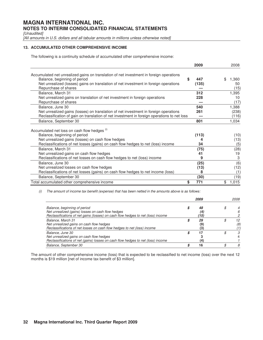[Unaudited]

[All amounts in U.S. dollars and all tabular amounts in millions unless otherwise noted]

# **13. ACCUMULATED OTHER COMPREHENSIVE INCOME**

The following is a continuity schedule of accumulated other comprehensive income:

|                                                                                             | 2009      | 2008        |
|---------------------------------------------------------------------------------------------|-----------|-------------|
| Accumulated net unrealized gains on translation of net investment in foreign operations     |           |             |
| Balance, beginning of period                                                                | \$<br>447 | 1,360<br>\$ |
| Net unrealized (losses) gains on translation of net investment in foreign operations        | (135)     | 50          |
| Repurchase of shares                                                                        |           | (15)        |
| Balance, March 31                                                                           | 312       | 1,395       |
| Net unrealized gains on translation of net investment in foreign operations                 | 228       | 10          |
| Repurchase of shares                                                                        |           | (17)        |
| Balance, June 30                                                                            | 540       | 1,388       |
| Net unrealized gains (losses) on translation of net investment in foreign operations        | 261       | (238)       |
| Reclassification of gain on translation of net investment in foreign operations to net loss |           | (116)       |
| Balance, September 30                                                                       | 801       | 1,034       |
| Accumulated net loss on cash flow hedges (1)                                                |           |             |
| Balance, beginning of period                                                                | (113)     | (10)        |
| Net unrealized gains (losses) on cash flow hedges                                           |           | (13)        |
| Reclassifications of net losses (gains) on cash flow hedges to net (loss) income            | 34        | (5)         |
|                                                                                             |           |             |
| Balance, March 31                                                                           | (75)      | (28)        |
| Net unrealized gains on cash flow hedges                                                    | 41        | 19          |
| Reclassifications of net losses on cash flow hedges to net (loss) income                    | 9         | 3           |
| Balance, June 30                                                                            | (25)      | (6)         |
| Net unrealized losses on cash flow hedges                                                   | (13)      | (12)        |
| Reclassifications of net losses (gains) on cash flow hedges to net income (loss)            | 8         | (1)         |
| Balance, September 30                                                                       | (30)      | (19)        |
| Total accumulated other comprehensive income                                                | \$<br>771 | 1,015<br>\$ |

(i) The amount of income tax benefit (expense) that has been netted in the amounts above is as follows:

|                                                                                                                                                  | 2009            | <i>2008</i> |
|--------------------------------------------------------------------------------------------------------------------------------------------------|-----------------|-------------|
| Balance, beginning of period                                                                                                                     | 48              |             |
| Net unrealized (gains) losses on cash flow hedges<br>Reclassifications of net gains (losses) on cash flow hedges to net (loss) income            | (4)<br>'15)     |             |
| Balance, March 31<br>Net unrealized gains on cash flow hedges<br>Reclassifications of net losses on cash flow hedges to net (loss) income        | 29<br>(9)<br>3. | 12<br>(8,   |
| Balance, June 30<br>Net unrealized gains on cash flow hedges<br>Reclassifications of net (gains) losses on cash flow hedges to net (loss) income | 4               |             |
| Balance, September 30                                                                                                                            | 16              | 8           |

The amount of other comprehensive income (loss) that is expected to be reclassified to net income (loss) over the next 12 months is \$19 million [net of income tax benefit of \$3 million].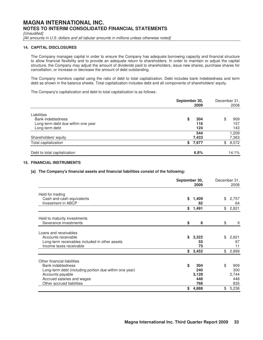[Unaudited]

[All amounts in U.S. dollars and all tabular amounts in millions unless otherwise noted]

# **14. CAPITAL DISCLOSURES**

The Company manages capital in order to ensure the Company has adequate borrowing capacity and financial structure to allow financial flexibility and to provide an adequate return to shareholders. In order to maintain or adjust the capital structure, the Company may adjust the amount of dividends paid to shareholders, issue new shares, purchase shares for cancellation, or increase or decrease the amount of debt outstanding.

The Company monitors capital using the ratio of debt to total capitalization. Debt includes bank indebtedness and term debt as shown in the balance sheets. Total capitalization includes debt and all components of shareholders' equity.

The Company's capitalization and debt to total capitalization is as follows:

|                                                                                                 | September 30,<br>2009   | December 31.<br>2008    |
|-------------------------------------------------------------------------------------------------|-------------------------|-------------------------|
| Liabilities<br><b>Bank indebtedness</b><br>Long-term debt due within one year<br>Long-term debt | 304<br>\$<br>116<br>124 | \$<br>909<br>157<br>143 |
| Shareholders' equity                                                                            | 544<br>7,433            | 1,209<br>7,363          |
| Total capitalization                                                                            | \$7,977                 | 8,572<br>\$             |
| Debt to total capitalization                                                                    | 6.8%                    | 14.1%                   |

# **15. FINANCIAL INSTRUMENTS**

# **[a] The Company's financial assets and financial liabilities consist of the following:**

|                                                        | September 30, | 2009        | December 31, | 2008        |
|--------------------------------------------------------|---------------|-------------|--------------|-------------|
| Held for trading                                       |               |             |              |             |
| Cash and cash equivalents<br>Investment in ABCP        | \$            | 1,409<br>82 | \$           | 2,757<br>64 |
|                                                        | \$            | 1,491       | \$           | 2,821       |
| Held to maturity investments                           |               |             |              |             |
| Severance investments                                  | \$            | 8           | \$           | 9           |
| Loans and receivables                                  |               |             |              |             |
| Accounts receivable                                    | \$            | 3,322       | \$           | 2,821       |
| Long-term receivables included in other assets         |               | 55          |              | 67          |
| Income taxes receivable                                |               | 75          |              | 11          |
|                                                        | \$            | 3,452       | \$           | 2,899       |
| Other financial liabilities                            |               |             |              |             |
| <b>Bank indebtedness</b>                               | \$            | 304         | \$           | 909         |
| Long-term debt (including portion due within one year) |               | 240         |              | 300         |
| Accounts payable                                       |               | 3,128       |              | 2,744       |
| Accrued salaries and wages                             |               | 448         |              | 448         |
| Other accrued liabilities                              |               | 768         |              | 835         |
|                                                        | \$            | 4,888       | \$           | 5,236       |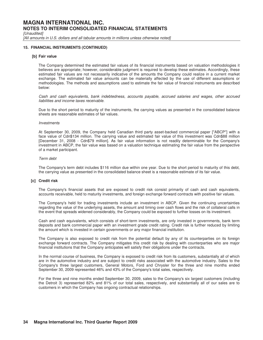[Unaudited]

[All amounts in U.S. dollars and all tabular amounts in millions unless otherwise noted]

### **15. FINANCIAL INSTRUMENTS (CONTINUED)**

### **[b] Fair value**

The Company determined the estimated fair values of its financial instruments based on valuation methodologies it believes are appropriate; however, considerable judgment is required to develop these estimates. Accordingly, these estimated fair values are not necessarily indicative of the amounts the Company could realize in a current market exchange. The estimated fair value amounts can be materially affected by the use of different assumptions or methodologies. The methods and assumptions used to estimate the fair value of financial instruments are described below:

Cash and cash equivalents, bank indebtedness, accounts payable, accrued salaries and wages, other accrued liabilities and income taxes receivable.

Due to the short period to maturity of the instruments, the carrying values as presented in the consolidated balance sheets are reasonable estimates of fair values.

#### Investments

At September 30, 2009, the Company held Canadian third party asset-backed commercial paper ["ABCP"] with a face value of Cdn\$134 million. The carrying value and estimated fair value of this investment was Cdn\$88 million [December 31, 2008 - Cdn\$79 million]. As fair value information is not readily determinable for the Company's investment in ABCP, the fair value was based on a valuation technique estimating the fair value from the perspective of a market participant.

#### Term debt

The Company's term debt includes \$116 million due within one year. Due to the short period to maturity of this debt, the carrying value as presented in the consolidated balance sheet is a reasonable estimate of its fair value.

### **[c] Credit risk**

The Company's financial assets that are exposed to credit risk consist primarily of cash and cash equivalents, accounts receivable, held to maturity investments, and foreign exchange forward contracts with positive fair values.

The Company's held for trading investments include an investment in ABCP. Given the continuing uncertainties regarding the value of the underlying assets, the amount and timing over cash flows and the risk of collateral calls in the event that spreads widened considerably, the Company could be exposed to further losses on its investment.

Cash and cash equivalents, which consists of short-term investments, are only invested in governments, bank term deposits and bank commercial paper with an investment grade credit rating. Credit risk is further reduced by limiting the amount which is invested in certain governments or any major financial institution.

The Company is also exposed to credit risk from the potential default by any of its counterparties on its foreign exchange forward contracts. The Company mitigates this credit risk by dealing with counterparties who are major financial institutions that the Company anticipates will satisfy their obligations under the contracts.

In the normal course of business, the Company is exposed to credit risk from its customers, substantially all of which are in the automotive industry and are subject to credit risks associated with the automotive industry. Sales to the Company's three largest customers, General Motors, Ford and Chrysler for the three and nine months ended September 30, 2009 represented 46% and 43% of the Company's total sales, respectively.

For the three and nine months ended September 30, 2009, sales to the Company's six largest customers (including the Detroit 3) represented 82% and 81% of our total sales, respectively, and substantially all of our sales are to customers in which the Company has ongoing contractual relationships.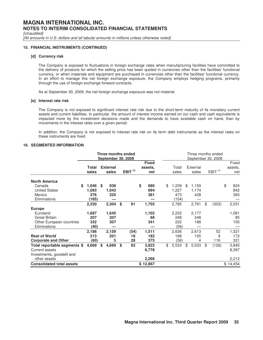[Unaudited]

[All amounts in U.S. dollars and all tabular amounts in millions unless otherwise noted]

# **15. FINANCIAL INSTRUMENTS (CONTINUED)**

### **[d] Currency risk**

The Company is exposed to fluctuations in foreign exchange rates when manufacturing facilities have committed to the delivery of products for which the selling price has been quoted in currencies other than the facilities' functional currency, or when materials and equipment are purchased in currencies other than the facilities' functional currency. In an effort to manage this net foreign exchange exposure, the Company employs hedging programs, primarily through the use of foreign exchange forward contracts.

As at September 30, 2009, the net foreign exchange exposure was not material.

#### **[e] Interest rate risk**

The Company is not exposed to significant interest rate risk due to the short-term maturity of its monetary current assets and current liabilities. In particular, the amount of interest income earned on our cash and cash equivalents is impacted more by the investment decisions made and the demands to have available cash on hand, than by movements in the interest rates over a given period.

In addition, the Company is not exposed to interest rate risk on its term debt instruments as the interest rates on these instruments are fixed.

# **16. SEGMENTED INFORMATION**

|                                                                              | Three months ended<br><b>September 30, 2009</b> |                             |     |                          |    |                  |    |                                | Three months ended<br>September 30, 2008 |                             |    |                     |    |                     |    |                         |  |
|------------------------------------------------------------------------------|-------------------------------------------------|-----------------------------|-----|--------------------------|----|------------------|----|--------------------------------|------------------------------------------|-----------------------------|----|---------------------|----|---------------------|----|-------------------------|--|
|                                                                              |                                                 | Total<br>sales              |     | <b>External</b><br>sales |    | EBIT $^{(i)}$    |    | <b>Fixed</b><br>assets,<br>net |                                          | Total<br>sales              |    | External<br>sales   |    | EBIT <sup>(i)</sup> |    | Fixed<br>assets,<br>net |  |
| <b>North America</b><br>Canada                                               | \$                                              | 1,046                       | \$. | 936                      |    |                  | \$ | 680                            | \$                                       | 1,239                       | \$ | 1,159               |    |                     | \$ | 824                     |  |
| <b>United States</b><br>Mexico<br>Eliminations                               |                                                 | 1,093<br>376<br>(185)       |     | 1,043<br>325             |    |                  |    | 694<br>381                     |                                          | 1,227<br>473<br>154)        |    | 1,174<br>428        |    |                     |    | 842<br>365              |  |
| <b>Europe</b>                                                                |                                                 | 2,330                       |     | 2,304                    | \$ | 91               |    | 1,755                          |                                          | 2,785                       |    | 2,761               | \$ | (303)               |    | 2,031                   |  |
| Euroland<br><b>Great Britain</b><br>Other European countries<br>Eliminations |                                                 | 1,687<br>207<br>332<br>(40) |     | 1,645<br>207<br>307      |    |                  |    | 1,102<br>68<br>341             |                                          | 2,222<br>248<br>222<br>(56) |    | 2,177<br>248<br>188 |    |                     |    | 1,081<br>85<br>155      |  |
| <b>Rest of World</b><br><b>Corporate and Other</b>                           |                                                 | 2,186<br>213<br>(60)        |     | 2,159<br>201<br>5        |    | (54)<br>18<br>28 |    | 1,511<br>182<br>375            |                                          | 2,636<br>168<br>(56)        |    | 2,613<br>155<br>4   |    | 52<br>9<br>116      |    | 1,321<br>172<br>321     |  |
| Total reportable segments \$<br>Current assets<br>Investments, goodwill and  |                                                 | 4,669                       | \$  | 4,669                    | \$ | 83               |    | 3,823<br>6,778                 | \$                                       | 5,533                       | \$ | 5,533               | \$ | (126)               |    | 3,845<br>8,397          |  |
| other assets<br><b>Consolidated total assets</b>                             |                                                 |                             |     |                          |    |                  |    | 2,266<br>\$12,867              |                                          |                             |    |                     |    |                     |    | 2,212<br>\$14,454       |  |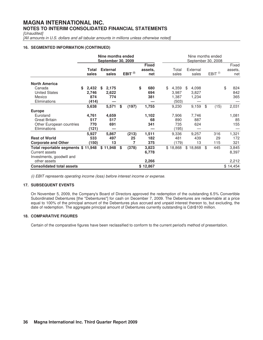[Unaudited]

[All amounts in U.S. dollars and all tabular amounts in millions unless otherwise noted]

# **16. SEGMENTED INFORMATION (CONTINUED)**

|                                                                                               | Nine months ended<br><b>September 30, 2009</b> |   |                          |    |                     |    |                                |    | Nine months ended<br>September 30, 2008 |     |                         |    |                     |    |                         |  |
|-----------------------------------------------------------------------------------------------|------------------------------------------------|---|--------------------------|----|---------------------|----|--------------------------------|----|-----------------------------------------|-----|-------------------------|----|---------------------|----|-------------------------|--|
|                                                                                               | Total<br>sales                                 |   | <b>External</b><br>sales |    | EBIT <sup>(i)</sup> |    | <b>Fixed</b><br>assets,<br>net |    | Total<br>sales                          |     | External<br>sales       |    | EBIT <sup>(i)</sup> |    | Fixed<br>assets,<br>net |  |
| <b>North America</b><br>Canada<br><b>United States</b><br>Mexico<br>Eliminations              | 2,432<br>\$.<br>2,746<br>874<br>(414)          | S | 2,175<br>2,622<br>774    |    |                     | \$ | 680<br>694<br>381              | \$ | 4,359<br>3,987<br>1,387<br>(503)        | \$. | 4,098<br>3,827<br>1,234 |    |                     | \$ | 824<br>842<br>365       |  |
|                                                                                               | 5,638                                          |   | 5,571                    | \$ | (197)               |    | 1,755                          |    | 9,230                                   |     | 9,159                   | \$ | (15)                |    | 2,031                   |  |
| <b>Europe</b><br>Euroland<br><b>Great Britain</b><br>Other European countries<br>Eliminations | 4,761<br>517<br>770<br>(121)                   |   | 4,659<br>517<br>691      |    |                     |    | 1,102<br>68<br>341             |    | 7,906<br>890<br>735<br>(195)            |     | 7,746<br>887<br>624     |    |                     |    | 1,081<br>85<br>155      |  |
| <b>Rest of World</b><br><b>Corporate and Other</b>                                            | 5,927<br>533<br>(150)                          |   | 5,867<br>497<br>13       |    | (213)<br>25<br>7    |    | 1,511<br>182<br>375            |    | 9,336<br>481<br>(179)                   |     | 9,257<br>439<br>13      |    | 316<br>29<br>115    |    | 1,321<br>172<br>321     |  |
| Total reportable segments \$11,948<br><b>Current assets</b><br>Investments, goodwill and      |                                                |   | \$11,948                 | \$ | (378)               |    | 3,823<br>6,778                 |    | \$18,868                                |     | \$18,868                | \$ | 445                 |    | 3,845<br>8,397          |  |
| other assets<br><b>Consolidated total assets</b>                                              |                                                |   |                          |    |                     |    | 2,266<br>\$12,867              |    |                                         |     |                         |    |                     |    | 2,212<br>\$14,454       |  |

(i) EBIT represents operating income (loss) before interest income or expense.

# **17. SUBSEQUENT EVENTS**

On November 5, 2009, the Company's Board of Directors approved the redemption of the outstanding 6.5% Convertible Subordinated Debentures [the "Debentures"] for cash on December 7, 2009. The Debentures are redeemable at a price equal to 100% of the principal amount of the Debentures plus accrued and unpaid interest thereon to, but excluding, the date of redemption. The aggregate principal amount of Debentures currently outstanding is Cdn\$100 million.

# **18. COMPARATIVE FIGURES**

Certain of the comparative figures have been reclassified to conform to the current period's method of presentation.